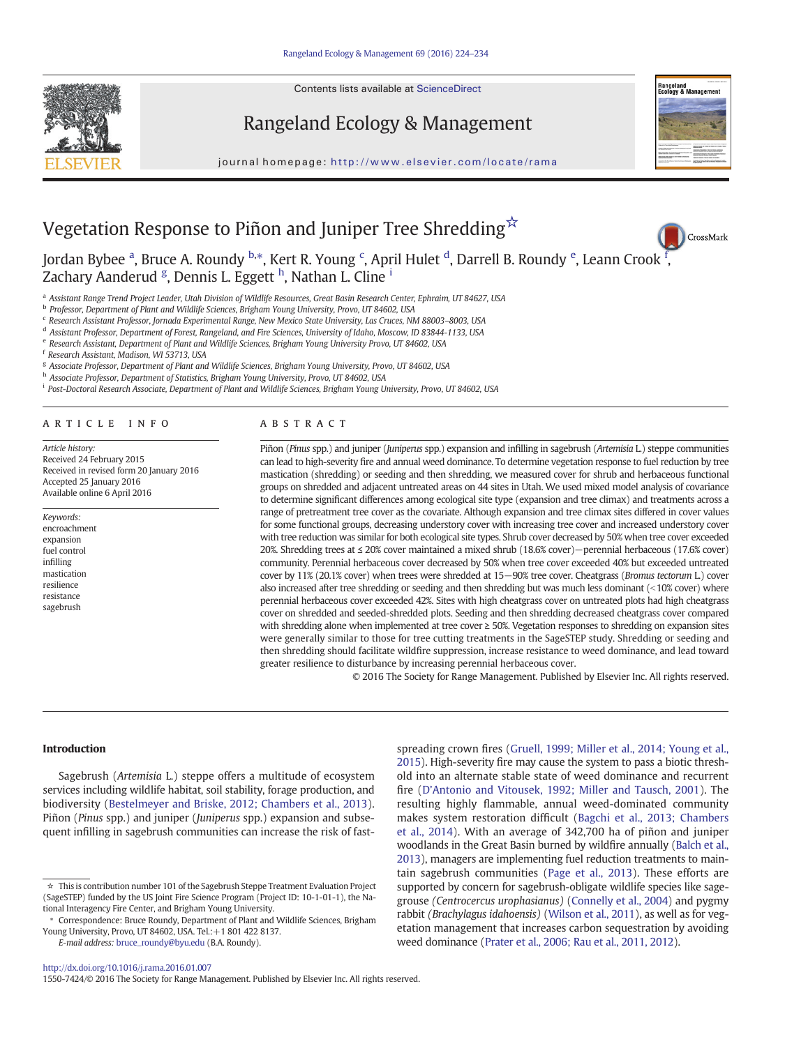Contents lists available at ScienceDirect







CrossMark

,

journal homepage: http://www.elsevier.com/locate/rama

# Vegetation Response to Piñon and Juniper Tree Shredding☆

Jordan Bybee <sup>a</sup>, Bruce A. Roundy <sup>b,</sup>\*, Kert R. Young <sup>c</sup>, April Hulet <sup>d</sup>, Darrell B. Roundy <sup>e</sup>, Leann Crook <sup>[f](http://crossmark.crossref.org/dialog/?doi=10.1016/j.rama.2016.01.007&domain=pdf)</sup> Zachary Aanderud <sup>g</sup>, Dennis L. Eggett <sup>h</sup>, Nathan L. Cline <sup>i</sup>

a Assistant Range Trend Project Leader, Utah Division of Wildlife Resources, Great Basin Research Center, Ephraim, UT 84627, USA

<sup>b</sup> Professor, Department of Plant and Wildlife Sciences, Brigham Young University, Provo, UT 84602, USA

<sup>c</sup> Research Assistant Professor, Jornada Experimental Range, New Mexico State University, Las Cruces, NM 88003-8003, USA

<sup>d</sup> Assistant Professor, Department of Forest, Rangeland, and Fire Sciences, University of Idaho, Moscow, ID 83844-1133, USA

<sup>e</sup> Research Assistant, Department of Plant and Wildlife Sciences, Brigham Young University Provo, UT 84602, USA

<sup>f</sup> Research Assistant, Madison, WI 53713, USA

<sup>g</sup> Associate Professor, Department of Plant and Wildlife Sciences, Brigham Young University, Provo, UT 84602, USA

h Associate Professor, Department of Statistics, Brigham Young University, Provo, UT 84602, USA

<sup>i</sup> Post-Doctoral Research Associate, Department of Plant and Wildlife Sciences, Brigham Young University, Provo, UT 84602, USA

# article info abstract

Article history: Received 24 February 2015 Received in revised form 20 January 2016 Accepted 25 January 2016 Available online 6 April 2016

- Keywords:
- encroachment expansion fuel control infilling mastication resilience resistance sagebrush

Piñon (Pinus spp.) and juniper (Juniperus spp.) expansion and infilling in sagebrush (Artemisia L.) steppe communities can lead to high-severity fire and annual weed dominance. To determine vegetation response to fuel reduction by tree mastication (shredding) or seeding and then shredding, we measured cover for shrub and herbaceous functional groups on shredded and adjacent untreated areas on 44 sites in Utah. We used mixed model analysis of covariance to determine significant differences among ecological site type (expansion and tree climax) and treatments across a range of pretreatment tree cover as the covariate. Although expansion and tree climax sites differed in cover values for some functional groups, decreasing understory cover with increasing tree cover and increased understory cover with tree reduction was similar for both ecological site types. Shrub cover decreased by 50% when tree cover exceeded 20%. Shredding trees at ≤ 20% cover maintained a mixed shrub (18.6% cover)−perennial herbaceous (17.6% cover) community. Perennial herbaceous cover decreased by 50% when tree cover exceeded 40% but exceeded untreated cover by 11% (20.1% cover) when trees were shredded at 15−90% tree cover. Cheatgrass (Bromus tectorum L.) cover also increased after tree shredding or seeding and then shredding but was much less dominant ( $<$ 10% cover) where perennial herbaceous cover exceeded 42%. Sites with high cheatgrass cover on untreated plots had high cheatgrass cover on shredded and seeded-shredded plots. Seeding and then shredding decreased cheatgrass cover compared with shredding alone when implemented at tree cover ≥ 50%. Vegetation responses to shredding on expansion sites were generally similar to those for tree cutting treatments in the SageSTEP study. Shredding or seeding and then shredding should facilitate wildfire suppression, increase resistance to weed dominance, and lead toward greater resilience to disturbance by increasing perennial herbaceous cover.

© 2016 The Society for Range Management. Published by Elsevier Inc. All rights reserved.

#### Introduction

Sagebrush (Artemisia L.) steppe offers a multitude of ecosystem services including wildlife habitat, soil stability, forage production, and biodiversity [\(Bestelmeyer and Briske, 2012; Chambers et al., 2013](#page-9-0)). Piñon (Pinus spp.) and juniper (Juniperus spp.) expansion and subsequent infilling in sagebrush communities can increase the risk of fast-

E-mail address: [bruce\\_roundy@byu.edu](mailto:bruce_roundy@byu.edu) (B.A. Roundy).

spreading crown fires [\(Gruell, 1999; Miller et al., 2014; Young et al.,](#page-9-0) [2015](#page-9-0)). High-severity fire may cause the system to pass a biotic threshold into an alternate stable state of weed dominance and recurrent fire (D'[Antonio and Vitousek, 1992; Miller and Tausch, 2001](#page-9-0)). The resulting highly flammable, annual weed-dominated community makes system restoration difficult [\(Bagchi et al., 2013; Chambers](#page-9-0) [et al., 2014\)](#page-9-0). With an average of 342,700 ha of piñon and juniper woodlands in the Great Basin burned by wildfire annually [\(Balch et al.,](#page-9-0) [2013](#page-9-0)), managers are implementing fuel reduction treatments to maintain sagebrush communities ([Page et al., 2013\)](#page-10-0). These efforts are supported by concern for sagebrush-obligate wildlife species like sagegrouse (Centrocercus urophasianus) ([Connelly et al., 2004](#page-9-0)) and pygmy rabbit (Brachylagus idahoensis) ([Wilson et al., 2011](#page-10-0)), as well as for vegetation management that increases carbon sequestration by avoiding weed dominance [\(Prater et al., 2006; Rau et al., 2011, 2012\)](#page-10-0).

<sup>☆</sup> This is contribution number 101 of the Sagebrush Steppe Treatment Evaluation Project (SageSTEP) funded by the US Joint Fire Science Program (Project ID: 10-1-01-1), the National Interagency Fire Center, and Brigham Young University.

<sup>⁎</sup> Correspondence: Bruce Roundy, Department of Plant and Wildlife Sciences, Brigham Young University, Provo, UT 84602, USA. Tel.:+1 801 422 8137.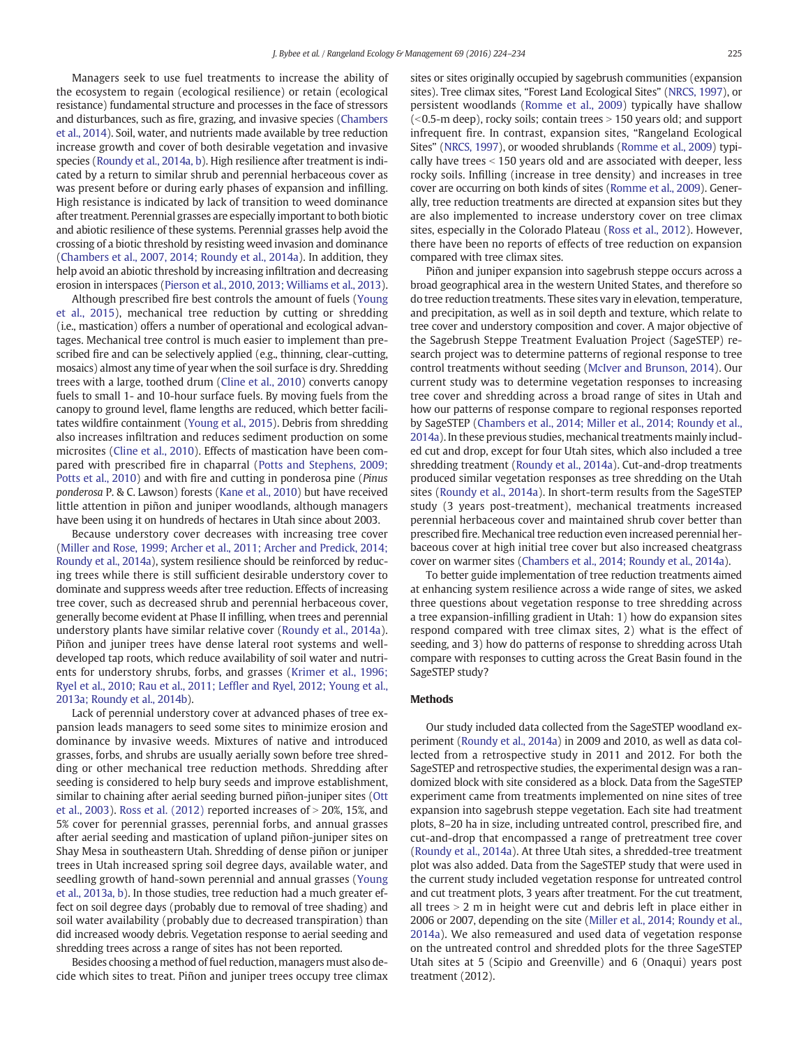Managers seek to use fuel treatments to increase the ability of the ecosystem to regain (ecological resilience) or retain (ecological resistance) fundamental structure and processes in the face of stressors and disturbances, such as fire, grazing, and invasive species [\(Chambers](#page-9-0) [et al., 2014\)](#page-9-0). Soil, water, and nutrients made available by tree reduction increase growth and cover of both desirable vegetation and invasive species [\(Roundy et al., 2014a, b](#page-10-0)). High resilience after treatment is indicated by a return to similar shrub and perennial herbaceous cover as was present before or during early phases of expansion and infilling. High resistance is indicated by lack of transition to weed dominance after treatment. Perennial grasses are especially important to both biotic and abiotic resilience of these systems. Perennial grasses help avoid the crossing of a biotic threshold by resisting weed invasion and dominance [\(Chambers et al., 2007, 2014; Roundy et al., 2014a\)](#page-9-0). In addition, they help avoid an abiotic threshold by increasing infiltration and decreasing erosion in interspaces ([Pierson et al., 2010, 2013; Williams et al., 2013](#page-10-0)).

Although prescribed fire best controls the amount of fuels [\(Young](#page-10-0) [et al., 2015\)](#page-10-0), mechanical tree reduction by cutting or shredding (i.e., mastication) offers a number of operational and ecological advantages. Mechanical tree control is much easier to implement than prescribed fire and can be selectively applied (e.g., thinning, clear-cutting, mosaics) almost any time of year when the soil surface is dry. Shredding trees with a large, toothed drum [\(Cline et al., 2010](#page-9-0)) converts canopy fuels to small 1- and 10-hour surface fuels. By moving fuels from the canopy to ground level, flame lengths are reduced, which better facilitates wildfire containment ([Young et al., 2015](#page-10-0)). Debris from shredding also increases infiltration and reduces sediment production on some microsites ([Cline et al., 2010\)](#page-9-0). Effects of mastication have been compared with prescribed fire in chaparral ([Potts and Stephens, 2009;](#page-10-0) [Potts et al., 2010](#page-10-0)) and with fire and cutting in ponderosa pine (Pinus ponderosa P. & C. Lawson) forests [\(Kane et al., 2010\)](#page-9-0) but have received little attention in piñon and juniper woodlands, although managers have been using it on hundreds of hectares in Utah since about 2003.

Because understory cover decreases with increasing tree cover [\(Miller and Rose, 1999; Archer et al., 2011; Archer and Predick, 2014;](#page-10-0) [Roundy et al., 2014a](#page-10-0)), system resilience should be reinforced by reducing trees while there is still sufficient desirable understory cover to dominate and suppress weeds after tree reduction. Effects of increasing tree cover, such as decreased shrub and perennial herbaceous cover, generally become evident at Phase II infilling, when trees and perennial understory plants have similar relative cover [\(Roundy et al., 2014a](#page-10-0)). Piñon and juniper trees have dense lateral root systems and welldeveloped tap roots, which reduce availability of soil water and nutrients for understory shrubs, forbs, and grasses [\(Krimer et al., 1996;](#page-9-0) [Ryel et al., 2010; Rau et al., 2011; Lef](#page-9-0)fler and Ryel, 2012; Young et al., [2013a; Roundy et al., 2014b\)](#page-9-0).

Lack of perennial understory cover at advanced phases of tree expansion leads managers to seed some sites to minimize erosion and dominance by invasive weeds. Mixtures of native and introduced grasses, forbs, and shrubs are usually aerially sown before tree shredding or other mechanical tree reduction methods. Shredding after seeding is considered to help bury seeds and improve establishment, similar to chaining after aerial seeding burned piñon-juniper sites [\(Ott](#page-10-0) [et al., 2003\)](#page-10-0). Ross et al.  $(2012)$  reported increases of  $>$  20%, 15%, and 5% cover for perennial grasses, perennial forbs, and annual grasses after aerial seeding and mastication of upland piñon-juniper sites on Shay Mesa in southeastern Utah. Shredding of dense piñon or juniper trees in Utah increased spring soil degree days, available water, and seedling growth of hand-sown perennial and annual grasses [\(Young](#page-10-0) [et al., 2013a, b](#page-10-0)). In those studies, tree reduction had a much greater effect on soil degree days (probably due to removal of tree shading) and soil water availability (probably due to decreased transpiration) than did increased woody debris. Vegetation response to aerial seeding and shredding trees across a range of sites has not been reported.

Besides choosing a method of fuel reduction, managers must also decide which sites to treat. Piñon and juniper trees occupy tree climax sites or sites originally occupied by sagebrush communities (expansion sites). Tree climax sites, "Forest Land Ecological Sites" ([NRCS, 1997\)](#page-10-0), or persistent woodlands [\(Romme et al., 2009](#page-10-0)) typically have shallow  $( $0.5$ -m deep)$ , rocky soils; contain trees  $> 150$  years old; and support infrequent fire. In contrast, expansion sites, "Rangeland Ecological Sites" [\(NRCS, 1997](#page-10-0)), or wooded shrublands [\(Romme et al., 2009\)](#page-10-0) typically have trees  $<$  150 years old and are associated with deeper, less rocky soils. Infilling (increase in tree density) and increases in tree cover are occurring on both kinds of sites ([Romme et al., 2009\)](#page-10-0). Generally, tree reduction treatments are directed at expansion sites but they are also implemented to increase understory cover on tree climax sites, especially in the Colorado Plateau [\(Ross et al., 2012](#page-10-0)). However, there have been no reports of effects of tree reduction on expansion compared with tree climax sites.

Piñon and juniper expansion into sagebrush steppe occurs across a broad geographical area in the western United States, and therefore so do tree reduction treatments. These sites vary in elevation, temperature, and precipitation, as well as in soil depth and texture, which relate to tree cover and understory composition and cover. A major objective of the Sagebrush Steppe Treatment Evaluation Project (SageSTEP) research project was to determine patterns of regional response to tree control treatments without seeding [\(McIver and Brunson, 2014\)](#page-9-0). Our current study was to determine vegetation responses to increasing tree cover and shredding across a broad range of sites in Utah and how our patterns of response compare to regional responses reported by SageSTEP [\(Chambers et al., 2014; Miller et al., 2014; Roundy et al.,](#page-9-0) [2014a](#page-9-0)). In these previous studies, mechanical treatments mainly included cut and drop, except for four Utah sites, which also included a tree shredding treatment ([Roundy et al., 2014a\)](#page-10-0). Cut-and-drop treatments produced similar vegetation responses as tree shredding on the Utah sites ([Roundy et al., 2014a](#page-10-0)). In short-term results from the SageSTEP study (3 years post-treatment), mechanical treatments increased perennial herbaceous cover and maintained shrub cover better than prescribed fire. Mechanical tree reduction even increased perennial herbaceous cover at high initial tree cover but also increased cheatgrass cover on warmer sites [\(Chambers et al., 2014; Roundy et al., 2014a\)](#page-9-0).

To better guide implementation of tree reduction treatments aimed at enhancing system resilience across a wide range of sites, we asked three questions about vegetation response to tree shredding across a tree expansion-infilling gradient in Utah: 1) how do expansion sites respond compared with tree climax sites, 2) what is the effect of seeding, and 3) how do patterns of response to shredding across Utah compare with responses to cutting across the Great Basin found in the SageSTEP study?

#### **Methods**

Our study included data collected from the SageSTEP woodland experiment [\(Roundy et al., 2014a\)](#page-10-0) in 2009 and 2010, as well as data collected from a retrospective study in 2011 and 2012. For both the SageSTEP and retrospective studies, the experimental design was a randomized block with site considered as a block. Data from the SageSTEP experiment came from treatments implemented on nine sites of tree expansion into sagebrush steppe vegetation. Each site had treatment plots, 8–20 ha in size, including untreated control, prescribed fire, and cut-and-drop that encompassed a range of pretreatment tree cover [\(Roundy et al., 2014a](#page-10-0)). At three Utah sites, a shredded-tree treatment plot was also added. Data from the SageSTEP study that were used in the current study included vegetation response for untreated control and cut treatment plots, 3 years after treatment. For the cut treatment, all trees  $> 2$  m in height were cut and debris left in place either in 2006 or 2007, depending on the site ([Miller et al., 2014; Roundy et al.,](#page-10-0) [2014a](#page-10-0)). We also remeasured and used data of vegetation response on the untreated control and shredded plots for the three SageSTEP Utah sites at 5 (Scipio and Greenville) and 6 (Onaqui) years post treatment (2012).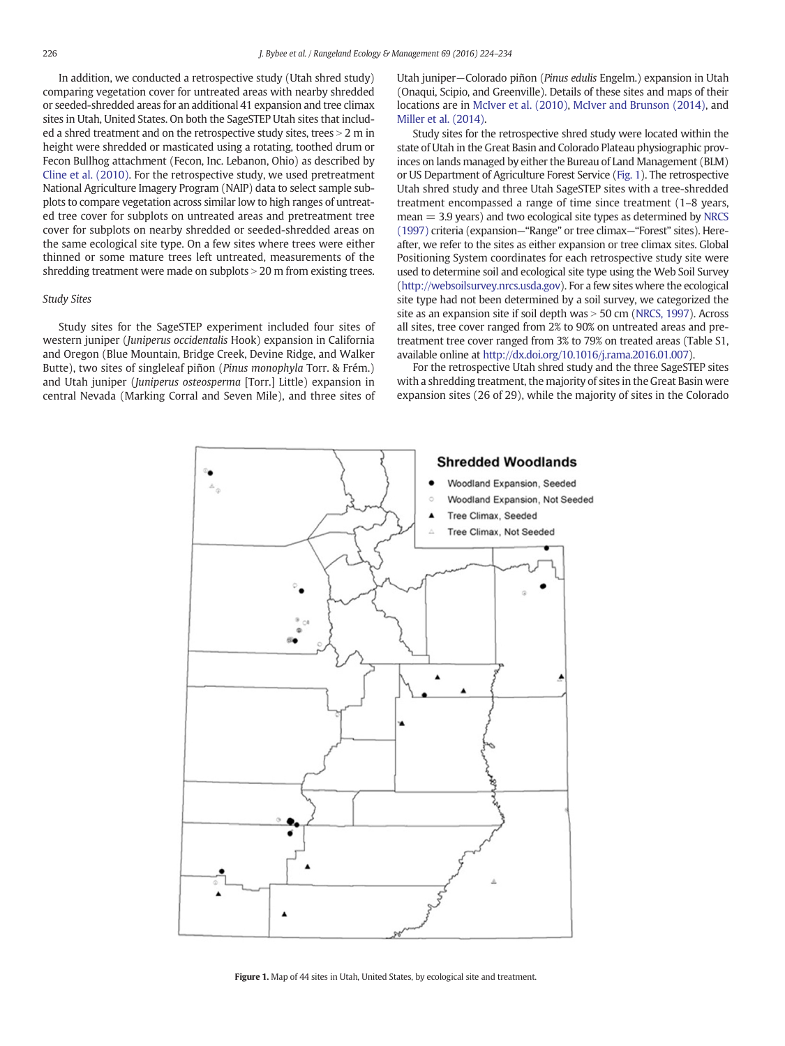In addition, we conducted a retrospective study (Utah shred study) comparing vegetation cover for untreated areas with nearby shredded or seeded-shredded areas for an additional 41 expansion and tree climax sites in Utah, United States. On both the SageSTEP Utah sites that included a shred treatment and on the retrospective study sites, trees  $> 2$  m in height were shredded or masticated using a rotating, toothed drum or Fecon Bullhog attachment (Fecon, Inc. Lebanon, Ohio) as described by [Cline et al. \(2010\).](#page-9-0) For the retrospective study, we used pretreatment National Agriculture Imagery Program (NAIP) data to select sample subplots to compare vegetation across similar low to high ranges of untreated tree cover for subplots on untreated areas and pretreatment tree cover for subplots on nearby shredded or seeded-shredded areas on the same ecological site type. On a few sites where trees were either thinned or some mature trees left untreated, measurements of the shredding treatment were made on subplots  $>$  20 m from existing trees.

# Study Sites

Study sites for the SageSTEP experiment included four sites of western juniper (Juniperus occidentalis Hook) expansion in California and Oregon (Blue Mountain, Bridge Creek, Devine Ridge, and Walker Butte), two sites of singleleaf piñon (Pinus monophyla Torr. & Frém.) and Utah juniper (Juniperus osteosperma [Torr.] Little) expansion in central Nevada (Marking Corral and Seven Mile), and three sites of Utah juniper−Colorado piñon (Pinus edulis Engelm.) expansion in Utah (Onaqui, Scipio, and Greenville). Details of these sites and maps of their locations are in [McIver et al. \(2010\),](#page-9-0) [McIver and Brunson \(2014\),](#page-9-0) and [Miller et al. \(2014\).](#page-10-0)

Study sites for the retrospective shred study were located within the state of Utah in the Great Basin and Colorado Plateau physiographic provinces on lands managed by either the Bureau of Land Management (BLM) or US Department of Agriculture Forest Service (Fig. 1). The retrospective Utah shred study and three Utah SageSTEP sites with a tree-shredded treatment encompassed a range of time since treatment (1–8 years,  $mean = 3.9$  years) and two ecological site types as determined by [NRCS](#page-10-0) [\(1997\)](#page-10-0) criteria (expansion—"Range" or tree climax—"Forest" sites). Hereafter, we refer to the sites as either expansion or tree climax sites. Global Positioning System coordinates for each retrospective study site were used to determine soil and ecological site type using the Web Soil Survey ([http://websoilsurvey.nrcs.usda.gov\)](http://websoilsurvey.nrcs.usda.gov). For a few sites where the ecological site type had not been determined by a soil survey, we categorized the site as an expansion site if soil depth was  $>$  50 cm [\(NRCS, 1997](#page-10-0)). Across all sites, tree cover ranged from 2% to 90% on untreated areas and pretreatment tree cover ranged from 3% to 79% on treated areas (Table S1, available online at [http://dx.doi.org/10.1016/j.rama.2016.01.007\)](http://dx.doi.org/).

For the retrospective Utah shred study and the three SageSTEP sites with a shredding treatment, the majority of sites in the Great Basin were expansion sites (26 of 29), while the majority of sites in the Colorado



Figure 1. Map of 44 sites in Utah, United States, by ecological site and treatment.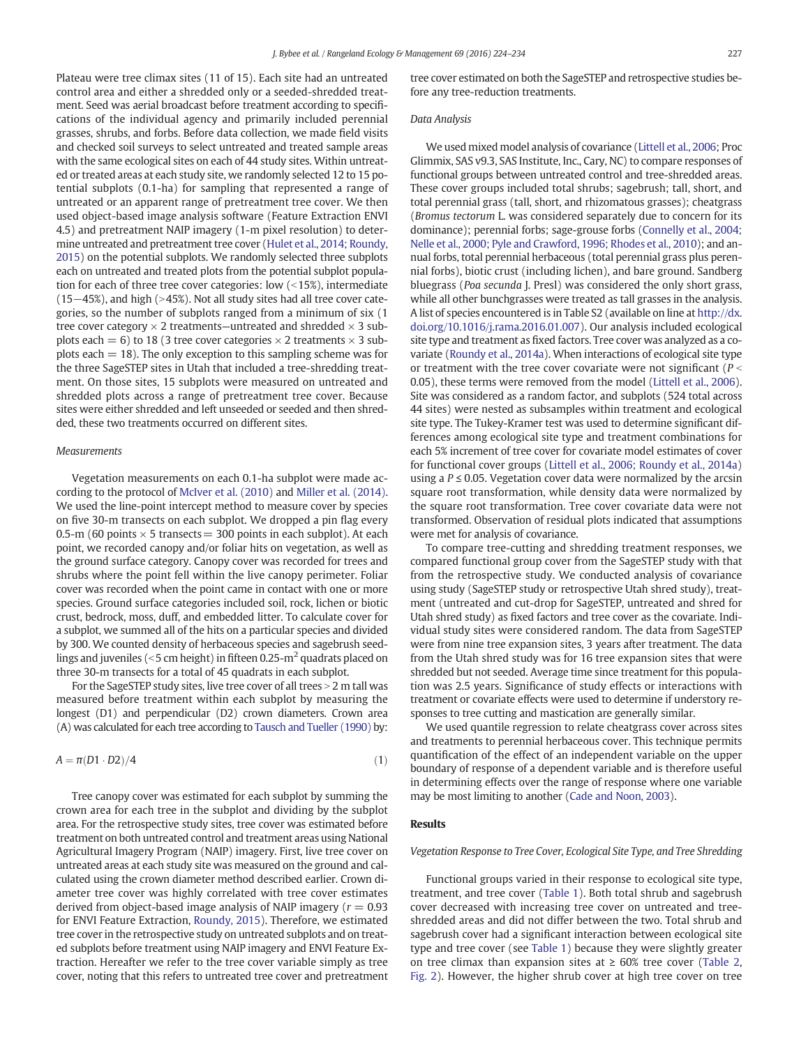Plateau were tree climax sites (11 of 15). Each site had an untreated control area and either a shredded only or a seeded-shredded treatment. Seed was aerial broadcast before treatment according to specifications of the individual agency and primarily included perennial grasses, shrubs, and forbs. Before data collection, we made field visits and checked soil surveys to select untreated and treated sample areas with the same ecological sites on each of 44 study sites. Within untreated or treated areas at each study site, we randomly selected 12 to 15 potential subplots (0.1-ha) for sampling that represented a range of untreated or an apparent range of pretreatment tree cover. We then used object-based image analysis software (Feature Extraction ENVI 4.5) and pretreatment NAIP imagery (1-m pixel resolution) to determine untreated and pretreatment tree cover [\(Hulet et al., 2014; Roundy,](#page-9-0) [2015](#page-9-0)) on the potential subplots. We randomly selected three subplots each on untreated and treated plots from the potential subplot population for each of three tree cover categories: low  $($ <15%), intermediate (15−45%), and high (>45%). Not all study sites had all tree cover categories, so the number of subplots ranged from a minimum of six (1 tree cover category  $\times$  2 treatments—untreated and shredded  $\times$  3 subplots each = 6) to 18 (3 tree cover categories  $\times$  2 treatments  $\times$  3 subplots each  $= 18$ ). The only exception to this sampling scheme was for the three SageSTEP sites in Utah that included a tree-shredding treatment. On those sites, 15 subplots were measured on untreated and shredded plots across a range of pretreatment tree cover. Because sites were either shredded and left unseeded or seeded and then shredded, these two treatments occurred on different sites.

## **Measurements**

Vegetation measurements on each 0.1-ha subplot were made according to the protocol of [McIver et al. \(2010\)](#page-9-0) and [Miller et al. \(2014\).](#page-10-0) We used the line-point intercept method to measure cover by species on five 30-m transects on each subplot. We dropped a pin flag every 0.5-m (60 points  $\times$  5 transects = 300 points in each subplot). At each point, we recorded canopy and/or foliar hits on vegetation, as well as the ground surface category. Canopy cover was recorded for trees and shrubs where the point fell within the live canopy perimeter. Foliar cover was recorded when the point came in contact with one or more species. Ground surface categories included soil, rock, lichen or biotic crust, bedrock, moss, duff, and embedded litter. To calculate cover for a subplot, we summed all of the hits on a particular species and divided by 300. We counted density of herbaceous species and sagebrush seedlings and juveniles ( $\le$ 5 cm height) in fifteen 0.25-m<sup>2</sup> quadrats placed on three 30-m transects for a total of 45 quadrats in each subplot.

For the SageSTEP study sites, live tree cover of all trees  $>$  2 m tall was measured before treatment within each subplot by measuring the longest (D1) and perpendicular (D2) crown diameters. Crown area (A) was calculated for each tree according to [Tausch and Tueller \(1990\)](#page-10-0) by:

$$
A = \pi (D1 \cdot D2)/4 \tag{1}
$$

Tree canopy cover was estimated for each subplot by summing the crown area for each tree in the subplot and dividing by the subplot area. For the retrospective study sites, tree cover was estimated before treatment on both untreated control and treatment areas using National Agricultural Imagery Program (NAIP) imagery. First, live tree cover on untreated areas at each study site was measured on the ground and calculated using the crown diameter method described earlier. Crown diameter tree cover was highly correlated with tree cover estimates derived from object-based image analysis of NAIP imagery ( $r = 0.93$ ) for ENVI Feature Extraction, [Roundy, 2015](#page-10-0)). Therefore, we estimated tree cover in the retrospective study on untreated subplots and on treated subplots before treatment using NAIP imagery and ENVI Feature Extraction. Hereafter we refer to the tree cover variable simply as tree cover, noting that this refers to untreated tree cover and pretreatment tree cover estimated on both the SageSTEP and retrospective studies before any tree-reduction treatments.

### Data Analysis

We used mixed model analysis of covariance [\(Littell et al., 2006;](#page-9-0) Proc Glimmix, SAS v9.3, SAS Institute, Inc., Cary, NC) to compare responses of functional groups between untreated control and tree-shredded areas. These cover groups included total shrubs; sagebrush; tall, short, and total perennial grass (tall, short, and rhizomatous grasses); cheatgrass (Bromus tectorum L. was considered separately due to concern for its dominance); perennial forbs; sage-grouse forbs [\(Connelly et al., 2004;](#page-9-0) [Nelle et al., 2000; Pyle and Crawford, 1996; Rhodes et al., 2010](#page-9-0)); and annual forbs, total perennial herbaceous (total perennial grass plus perennial forbs), biotic crust (including lichen), and bare ground. Sandberg bluegrass (Poa secunda J. Presl) was considered the only short grass, while all other bunchgrasses were treated as tall grasses in the analysis. A list of species encountered is in Table S2 (available on line at [http://dx.](http://dx.doi.org/) [doi.org/10.1016/j.rama.2016.01.007\)](http://dx.doi.org/). Our analysis included ecological site type and treatment as fixed factors. Tree cover was analyzed as a covariate [\(Roundy et al., 2014a](#page-10-0)). When interactions of ecological site type or treatment with the tree cover covariate were not significant ( $P <$ 0.05), these terms were removed from the model [\(Littell et al., 2006](#page-9-0)). Site was considered as a random factor, and subplots (524 total across 44 sites) were nested as subsamples within treatment and ecological site type. The Tukey-Kramer test was used to determine significant differences among ecological site type and treatment combinations for each 5% increment of tree cover for covariate model estimates of cover for functional cover groups [\(Littell et al., 2006; Roundy et al., 2014a](#page-9-0)) using a  $P \le 0.05$ . Vegetation cover data were normalized by the arcsin square root transformation, while density data were normalized by the square root transformation. Tree cover covariate data were not transformed. Observation of residual plots indicated that assumptions were met for analysis of covariance.

To compare tree-cutting and shredding treatment responses, we compared functional group cover from the SageSTEP study with that from the retrospective study. We conducted analysis of covariance using study (SageSTEP study or retrospective Utah shred study), treatment (untreated and cut-drop for SageSTEP, untreated and shred for Utah shred study) as fixed factors and tree cover as the covariate. Individual study sites were considered random. The data from SageSTEP were from nine tree expansion sites, 3 years after treatment. The data from the Utah shred study was for 16 tree expansion sites that were shredded but not seeded. Average time since treatment for this population was 2.5 years. Significance of study effects or interactions with treatment or covariate effects were used to determine if understory responses to tree cutting and mastication are generally similar.

We used quantile regression to relate cheatgrass cover across sites and treatments to perennial herbaceous cover. This technique permits quantification of the effect of an independent variable on the upper boundary of response of a dependent variable and is therefore useful in determining effects over the range of response where one variable may be most limiting to another [\(Cade and Noon, 2003\)](#page-9-0).

#### Results

# Vegetation Response to Tree Cover, Ecological Site Type, and Tree Shredding

Functional groups varied in their response to ecological site type, treatment, and tree cover [\(Table 1\)](#page-4-0). Both total shrub and sagebrush cover decreased with increasing tree cover on untreated and treeshredded areas and did not differ between the two. Total shrub and sagebrush cover had a significant interaction between ecological site type and tree cover (see [Table 1\)](#page-4-0) because they were slightly greater on tree climax than expansion sites at  $\geq 60\%$  tree cover ([Table 2,](#page-5-0) [Fig. 2\)](#page-5-0). However, the higher shrub cover at high tree cover on tree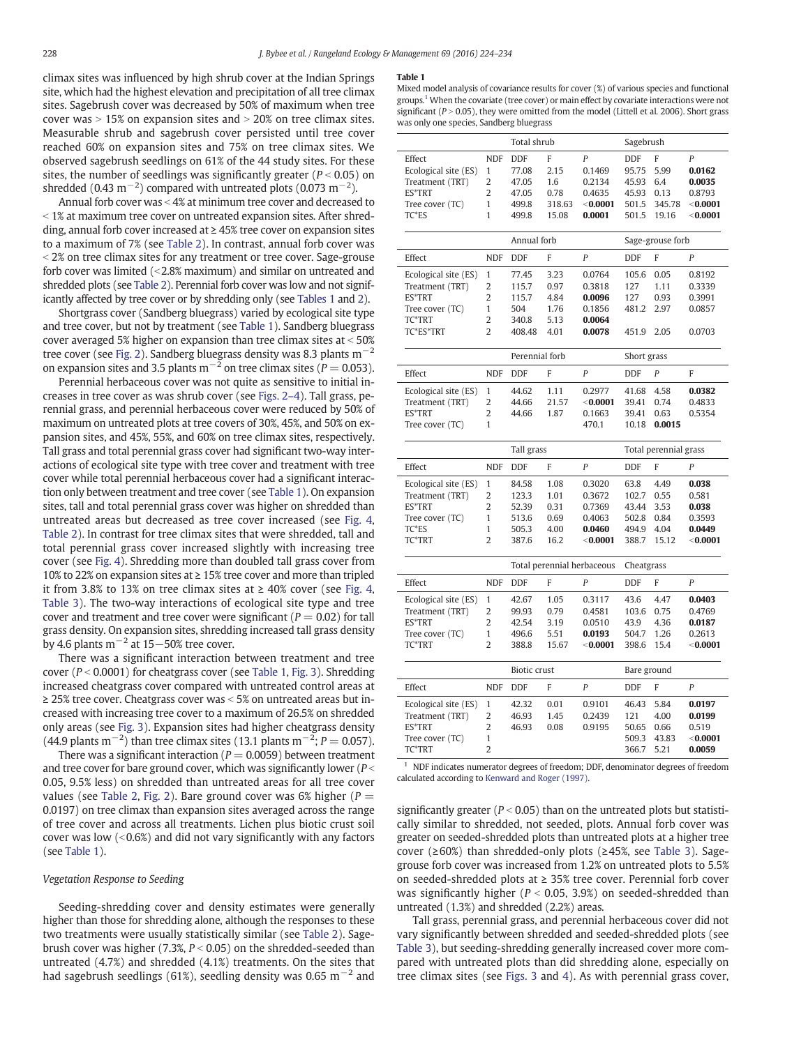<span id="page-4-0"></span>climax sites was influenced by high shrub cover at the Indian Springs site, which had the highest elevation and precipitation of all tree climax sites. Sagebrush cover was decreased by 50% of maximum when tree cover was  $> 15\%$  on expansion sites and  $> 20\%$  on tree climax sites. Measurable shrub and sagebrush cover persisted until tree cover reached 60% on expansion sites and 75% on tree climax sites. We observed sagebrush seedlings on 61% of the 44 study sites. For these sites, the number of seedlings was significantly greater ( $P < 0.05$ ) on shredded (0.43 m<sup>-2</sup>) compared with untreated plots (0.073 m<sup>-2</sup>).

Annual forb cover was  $<$  4% at minimum tree cover and decreased to  $\le$  1% at maximum tree cover on untreated expansion sites. After shredding, annual forb cover increased at ≥ 45% tree cover on expansion sites to a maximum of 7% (see [Table 2\)](#page-5-0). In contrast, annual forb cover was  $<$  2% on tree climax sites for any treatment or tree cover. Sage-grouse forb cover was limited  $\left($  < 2.8% maximum) and similar on untreated and shredded plots (see [Table 2](#page-5-0)). Perennial forb cover was low and not significantly affected by tree cover or by shredding only (see Tables 1 and [2](#page-5-0)).

Shortgrass cover (Sandberg bluegrass) varied by ecological site type and tree cover, but not by treatment (see Table 1). Sandberg bluegrass cover averaged 5% higher on expansion than tree climax sites at  $<$  50% tree cover (see [Fig. 2](#page-5-0)). Sandberg bluegrass density was 8.3 plants m−<sup>2</sup> on expansion sites and 3.5 plants m<sup>-2</sup> on tree climax sites ( $P = 0.053$ ).

Perennial herbaceous cover was not quite as sensitive to initial increases in tree cover as was shrub cover (see [Figs. 2](#page-5-0)–4). Tall grass, perennial grass, and perennial herbaceous cover were reduced by 50% of maximum on untreated plots at tree covers of 30%, 45%, and 50% on expansion sites, and 45%, 55%, and 60% on tree climax sites, respectively. Tall grass and total perennial grass cover had significant two-way interactions of ecological site type with tree cover and treatment with tree cover while total perennial herbaceous cover had a significant interaction only between treatment and tree cover (see Table 1). On expansion sites, tall and total perennial grass cover was higher on shredded than untreated areas but decreased as tree cover increased (see [Fig. 4,](#page-7-0) [Table 2\)](#page-5-0). In contrast for tree climax sites that were shredded, tall and total perennial grass cover increased slightly with increasing tree cover (see [Fig. 4](#page-7-0)). Shredding more than doubled tall grass cover from 10% to 22% on expansion sites at ≥ 15% tree cover and more than tripled it from 3.8% to 13% on tree climax sites at  $\geq$  40% cover (see [Fig. 4,](#page-7-0) [Table 3\)](#page-7-0). The two-way interactions of ecological site type and tree cover and treatment and tree cover were significant ( $P = 0.02$ ) for tall grass density. On expansion sites, shredding increased tall grass density by 4.6 plants m<sup> $-2$ </sup> at 15 $-50\%$  tree cover.

There was a significant interaction between treatment and tree cover ( $P < 0.0001$ ) for cheatgrass cover (see Table 1, [Fig. 3\)](#page-6-0). Shredding increased cheatgrass cover compared with untreated control areas at  $\geq$  25% tree cover. Cheatgrass cover was < 5% on untreated areas but increased with increasing tree cover to a maximum of 26.5% on shredded only areas (see [Fig. 3\)](#page-6-0). Expansion sites had higher cheatgrass density (44.9 plants m<sup>-2</sup>) than tree climax sites (13.1 plants m<sup>-2</sup>; P = 0.057).

There was a significant interaction ( $P = 0.0059$ ) between treatment and tree cover for bare ground cover, which was significantly lower ( $P <$ 0.05, 9.5% less) on shredded than untreated areas for all tree cover values (see [Table 2](#page-5-0), [Fig. 2\)](#page-5-0). Bare ground cover was 6% higher ( $P =$ 0.0197) on tree climax than expansion sites averaged across the range of tree cover and across all treatments. Lichen plus biotic crust soil cover was low  $(0.6\%)$  and did not vary significantly with any factors (see Table 1).

# Vegetation Response to Seeding

Seeding-shredding cover and density estimates were generally higher than those for shredding alone, although the responses to these two treatments were usually statistically similar (see [Table 2\)](#page-5-0). Sagebrush cover was higher (7.3%,  $P < 0.05$ ) on the shredded-seeded than untreated (4.7%) and shredded (4.1%) treatments. On the sites that had sagebrush seedlings (61%), seedling density was 0.65 m<sup>-2</sup> and

#### Table 1

Mixed model analysis of covariance results for cover (%) of various species and functional groups.<sup>1</sup> When the covariate (tree cover) or main effect by covariate interactions were not significant ( $P > 0.05$ ), they were omitted from the model (Littell et al. 2006). Short grass was only one species, Sandberg bluegrass

|                                                                                                |                                                                                         | Total shrub                                             |                                              |                                                                    | Sagebrush                                               |                                               |                                                                        |  |
|------------------------------------------------------------------------------------------------|-----------------------------------------------------------------------------------------|---------------------------------------------------------|----------------------------------------------|--------------------------------------------------------------------|---------------------------------------------------------|-----------------------------------------------|------------------------------------------------------------------------|--|
| Effect<br>Ecological site (ES)<br>Treatment (TRT)<br>ES*TRT<br>Tree cover (TC)<br>TC*ES        | <b>NDF</b><br>1<br>$\overline{2}$<br>$\overline{2}$<br>$\mathbf{1}$<br>$\mathbf{1}$     | <b>DDF</b><br>77.08<br>47.05<br>47.05<br>499.8<br>499.8 | F<br>2.15<br>1.6<br>0.78<br>318.63<br>15.08  | $\overline{P}$<br>0.1469<br>0.2134<br>0.4635<br>< 0.0001<br>0.0001 | <b>DDF</b><br>95.75<br>45.93<br>45.93<br>501.5<br>501.5 | F<br>5.99<br>6.4<br>0.13<br>345.78<br>19.16   | $\overline{P}$<br>0.0162<br>0.0035<br>0.8793<br>< 0.0001<br>$<$ 0.0001 |  |
|                                                                                                |                                                                                         | Annual forb                                             |                                              |                                                                    | Sage-grouse forb                                        |                                               |                                                                        |  |
| Effect                                                                                         | <b>NDF</b>                                                                              | <b>DDF</b>                                              | F                                            | $\overline{P}$                                                     | <b>DDF</b>                                              | F                                             | P                                                                      |  |
| Ecological site (ES)<br>Treatment (TRT)<br>ES*TRT<br>Tree cover (TC)<br>TC*TRT<br>TC*ES*TRT    | $\mathbf{1}$<br>$\overline{2}$<br>$\overline{2}$<br>$\mathbf{1}$<br>2<br>$\overline{2}$ | 77.45<br>115.7<br>115.7<br>504<br>340.8<br>408.48       | 3.23<br>0.97<br>4.84<br>1.76<br>5.13<br>4.01 | 0.0764<br>0.3818<br>0.0096<br>0.1856<br>0.0064<br>0.0078           | 105.6<br>127<br>127<br>481.2<br>451.9                   | 0.05<br>1.11<br>0.93<br>2.97<br>2.05          | 0.8192<br>0.3339<br>0.3991<br>0.0857<br>0.0703                         |  |
|                                                                                                |                                                                                         | Perennial forb                                          |                                              |                                                                    | Short grass                                             |                                               |                                                                        |  |
| Effect                                                                                         | <b>NDF</b>                                                                              | <b>DDF</b>                                              | F                                            | $\overline{P}$                                                     | <b>DDF</b>                                              | P                                             | F                                                                      |  |
| Ecological site (ES)<br>Treatment (TRT)<br>ES*TRT<br>Tree cover (TC)                           | 1<br>$\overline{2}$<br>$\overline{2}$<br>1                                              | 44.62<br>44.66<br>44.66                                 | 1.11<br>21.57<br>1.87                        | 0.2977<br>< 0.0001<br>0.1663<br>470.1                              | 41.68<br>39.41<br>39.41<br>10.18                        | 4.58<br>0.74<br>0.63<br>0.0015                | 0.0382<br>0.4833<br>0.5354                                             |  |
|                                                                                                |                                                                                         | Tall grass                                              |                                              |                                                                    | Total perennial grass                                   |                                               |                                                                        |  |
| Effect                                                                                         | <b>NDF</b>                                                                              | <b>DDF</b>                                              | F                                            | P                                                                  | <b>DDF</b>                                              | F                                             | P                                                                      |  |
| Ecological site (ES)<br>Treatment (TRT)<br><b>ES*TRT</b><br>Tree cover (TC)<br>TC*ES<br>TC*TRT | $\mathbf{1}$<br>$\overline{2}$<br>$\overline{2}$<br>1<br>1<br>$\overline{2}$            | 84.58<br>123.3<br>52.39<br>513.6<br>505.3<br>387.6      | 1.08<br>1.01<br>0.31<br>0.69<br>4.00<br>16.2 | 0.3020<br>0.3672<br>0.7369<br>0.4063<br>0.0460<br>< 0.0001         | 63.8<br>102.7<br>43.44<br>502.8<br>494.9<br>388.7       | 4.49<br>0.55<br>3.53<br>0.84<br>4.04<br>15.12 | 0.038<br>0.581<br>0.038<br>0.3593<br>0.0449<br>$<$ 0.0001              |  |
|                                                                                                |                                                                                         | Total perennial herbaceous                              |                                              |                                                                    | Cheatgrass                                              |                                               |                                                                        |  |
| Effect                                                                                         | <b>NDF</b>                                                                              | <b>DDF</b>                                              | F                                            | P                                                                  | <b>DDF</b>                                              | F                                             | P                                                                      |  |
| Ecological site (ES)<br>Treatment (TRT)<br>ES*TRT<br>Tree cover (TC)<br>TC*TRT                 | $\mathbf{1}$<br>2<br>$\overline{2}$<br>1<br>$\overline{2}$                              | 42.67<br>99.93<br>42.54<br>496.6<br>388.8               | 1.05<br>0.79<br>3.19<br>5.51<br>15.67        | 0.3117<br>0.4581<br>0.0510<br>0.0193<br>< 0.0001                   | 43.6<br>103.6<br>43.9<br>504.7<br>398.6                 | 4.47<br>0.75<br>4.36<br>1.26<br>15.4          | 0.0403<br>0.4769<br>0.0187<br>0.2613<br>< 0.0001                       |  |
|                                                                                                |                                                                                         | <b>Biotic crust</b>                                     |                                              |                                                                    | Bare ground                                             |                                               |                                                                        |  |
| Effect                                                                                         | <b>NDF</b>                                                                              | DDF                                                     | F                                            | P                                                                  | <b>DDF</b>                                              | F                                             | P                                                                      |  |
| Ecological site (ES)<br>Treatment (TRT)<br>ES*TRT<br>Tree cover (TC)<br>TC*TRT                 | 1<br>2<br>$\overline{2}$<br>1<br>$\overline{\mathcal{L}}$                               | 42.32<br>46.93<br>46.93                                 | 0.01<br>1.45<br>0.08                         | 0.9101<br>0.2439<br>0.9195                                         | 46.43<br>121<br>50.65<br>509.3<br>366.7                 | 5.84<br>4.00<br>0.66<br>43.83<br>521          | 0.0197<br>0.0199<br>0.519<br>$<$ 0.0001<br>0.0059                      |  |

 $1$  NDF indicates numerator degrees of freedom; DDF, denominator degrees of freedom calculated according to [Kenward and Roger \(1997\).](#page-9-0)

significantly greater ( $P < 0.05$ ) than on the untreated plots but statistically similar to shredded, not seeded, plots. Annual forb cover was greater on seeded-shredded plots than untreated plots at a higher tree cover (≥60%) than shredded-only plots (≥45%, see [Table 3\)](#page-7-0). Sagegrouse forb cover was increased from 1.2% on untreated plots to 5.5% on seeded-shredded plots at ≥ 35% tree cover. Perennial forb cover was significantly higher ( $P < 0.05$ , 3.9%) on seeded-shredded than untreated (1.3%) and shredded (2.2%) areas.

Tall grass, perennial grass, and perennial herbaceous cover did not vary significantly between shredded and seeded-shredded plots (see [Table 3](#page-7-0)), but seeding-shredding generally increased cover more compared with untreated plots than did shredding alone, especially on tree climax sites (see [Figs. 3](#page-6-0) and [4](#page-7-0)). As with perennial grass cover,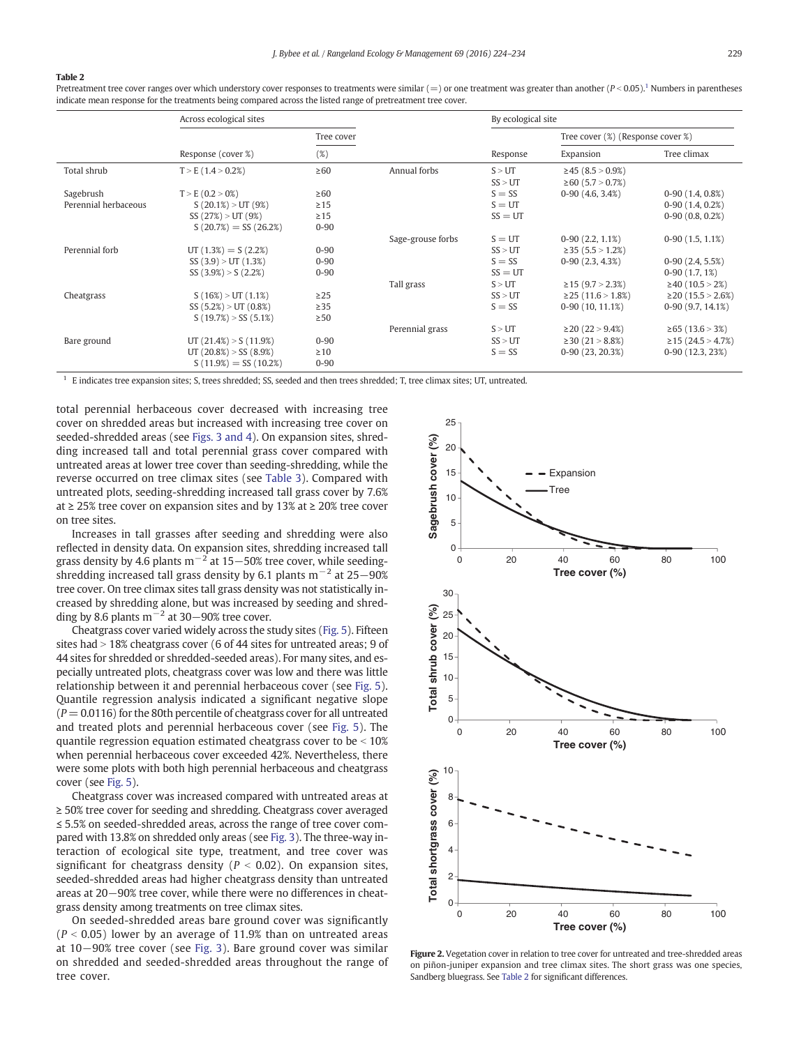#### <span id="page-5-0"></span>Table 2

Pretreatment tree cover ranges over which understory cover responses to treatments were similar (=) or one treatment was greater than another ( $P < 0.05$ ).<sup>1</sup> Numbers in parentheses indicate mean response for the treatments being compared across the listed range of pretreatment tree cover.

|                      | Across ecological sites    |            | By ecological site |           |                                   |                            |  |
|----------------------|----------------------------|------------|--------------------|-----------|-----------------------------------|----------------------------|--|
|                      |                            | Tree cover |                    |           | Tree cover (%) (Response cover %) |                            |  |
|                      | Response (cover %)         | (%)        |                    | Response  | Expansion                         | Tree climax                |  |
| Total shrub          | $T > E$ (1.4 > 0.2%)       | $\geq 60$  | Annual forbs       | S > UT    | $\geq$ 45 (8.5 > 0.9%)            |                            |  |
|                      |                            |            |                    | SS > UT   | $\geq 60$ (5.7 > 0.7%)            |                            |  |
| Sagebrush            | $T > E(0.2 > 0\%)$         | $\geq 60$  |                    | $S = SS$  | $0-90(4.6, 3.4%)$                 | $0-90(1.4, 0.8%)$          |  |
| Perennial herbaceous | $S(20.1\%) > UT(9\%)$      | $\geq$ 15  |                    | $S = UT$  |                                   | $0-90(1.4, 0.2%)$          |  |
|                      | SS (27%) > UT (9%)         | $\geq$ 15  |                    | $SS = UT$ |                                   | $0-90(0.8, 0.2%)$          |  |
|                      | $S(20.7\%) = SS(26.2\%)$   | $0 - 90$   |                    |           |                                   |                            |  |
|                      |                            |            | Sage-grouse forbs  | $S = UT$  | $0-90(2.2, 1.1\%)$                | $0-90(1.5, 1.1\%)$         |  |
| Perennial forb       | $UT(1.3%) = S(2.2%)$       | $0 - 90$   |                    | SS > UT   | $\geq$ 35 (5.5 $>$ 1.2%)          |                            |  |
|                      | SS(3.9) > UT(1.3%)         | $0 - 90$   |                    | $S = SS$  | $0-90(2.3, 4.3%)$                 | $0-90(2.4, 5.5%)$          |  |
|                      | SS(3.9%) > S(2.2%)         | $0 - 90$   |                    | $SS = UT$ |                                   | $0-90(1.7, 1\%)$           |  |
|                      |                            |            | Tall grass         | S > UT    | $\geq$ 15 (9.7 > 2.3%)            | $\geq$ 40 (10.5 > 2%)      |  |
| Cheatgrass           | $S(16\%) > UT(1.1\%)$      | $\geq$ 25  |                    | SS > UT   | $\geq$ 25 (11.6 $>$ 1.8%)         | $\geq$ 20 (15.5 > 2.6%)    |  |
|                      | SS (5.2%) > UT (0.8%)      | $\geq$ 35  |                    | $S = SS$  | $0-90(10, 11.1\%)$                | $0-90(9.7, 14.1\%)$        |  |
|                      | $S(19.7\%) > SS(5.1\%)$    | $\geq 50$  |                    |           |                                   |                            |  |
|                      |                            |            | Perennial grass    | S > UT    | $\geq$ 20 (22 $>$ 9.4%)           | $\geq 65$ (13.6 $> 3\%)$ ) |  |
| Bare ground          | UT $(21.4\%) > S(11.9\%)$  | $0 - 90$   |                    | SS > UT   | $\geq$ 30 (21 > 8.8%)             | $\geq$ 15 (24.5 > 4.7%)    |  |
|                      | UT $(20.8\%) > SS (8.9\%)$ | $\geq 10$  |                    | $S = SS$  | $0-90(23, 20.3%)$                 | $0-90(12.3, 23%)$          |  |
|                      | $S(11.9\%) = SS(10.2\%)$   | $0 - 90$   |                    |           |                                   |                            |  |

 $<sup>1</sup>$  E indicates tree expansion sites; S, trees shredded; SS, seeded and then trees shredded; T, tree climax sites; UT, untreated.</sup>

total perennial herbaceous cover decreased with increasing tree cover on shredded areas but increased with increasing tree cover on seeded-shredded areas (see [Figs. 3 and 4\)](#page-6-0). On expansion sites, shredding increased tall and total perennial grass cover compared with untreated areas at lower tree cover than seeding-shredding, while the reverse occurred on tree climax sites (see [Table 3](#page-7-0)). Compared with untreated plots, seeding-shredding increased tall grass cover by 7.6% at ≥ 25% tree cover on expansion sites and by 13% at ≥ 20% tree cover on tree sites.

Increases in tall grasses after seeding and shredding were also reflected in density data. On expansion sites, shredding increased tall grass density by 4.6 plants  $m^{-2}$  at 15–50% tree cover, while seedingshredding increased tall grass density by 6.1 plants m<sup>-2</sup> at 25–90% tree cover. On tree climax sites tall grass density was not statistically increased by shredding alone, but was increased by seeding and shredding by 8.6 plants m<sup> $-2$ </sup> at 30–90% tree cover.

Cheatgrass cover varied widely across the study sites [\(Fig. 5](#page-8-0)). Fifteen sites had  $> 18\%$  cheatgrass cover (6 of 44 sites for untreated areas; 9 of 44 sites for shredded or shredded-seeded areas). For many sites, and especially untreated plots, cheatgrass cover was low and there was little relationship between it and perennial herbaceous cover (see [Fig. 5](#page-8-0)). Quantile regression analysis indicated a significant negative slope  $(P = 0.0116)$  for the 80th percentile of cheatgrass cover for all untreated and treated plots and perennial herbaceous cover (see [Fig. 5\)](#page-8-0). The quantile regression equation estimated cheatgrass cover to be  $\leq 10\%$ when perennial herbaceous cover exceeded 42%. Nevertheless, there were some plots with both high perennial herbaceous and cheatgrass cover (see [Fig. 5\)](#page-8-0).

Cheatgrass cover was increased compared with untreated areas at ≥ 50% tree cover for seeding and shredding. Cheatgrass cover averaged ≤ 5.5% on seeded-shredded areas, across the range of tree cover compared with 13.8% on shredded only areas (see [Fig. 3](#page-6-0)). The three-way interaction of ecological site type, treatment, and tree cover was significant for cheatgrass density ( $P < 0.02$ ). On expansion sites, seeded-shredded areas had higher cheatgrass density than untreated areas at 20−90% tree cover, while there were no differences in cheatgrass density among treatments on tree climax sites.

On seeded-shredded areas bare ground cover was significantly  $(P < 0.05)$  lower by an average of 11.9% than on untreated areas at 10−90% tree cover (see [Fig. 3](#page-6-0)). Bare ground cover was similar on shredded and seeded-shredded areas throughout the range of tree cover.



Figure 2. Vegetation cover in relation to tree cover for untreated and tree-shredded areas on piñon-juniper expansion and tree climax sites. The short grass was one species, Sandberg bluegrass. See Table 2 for significant differences.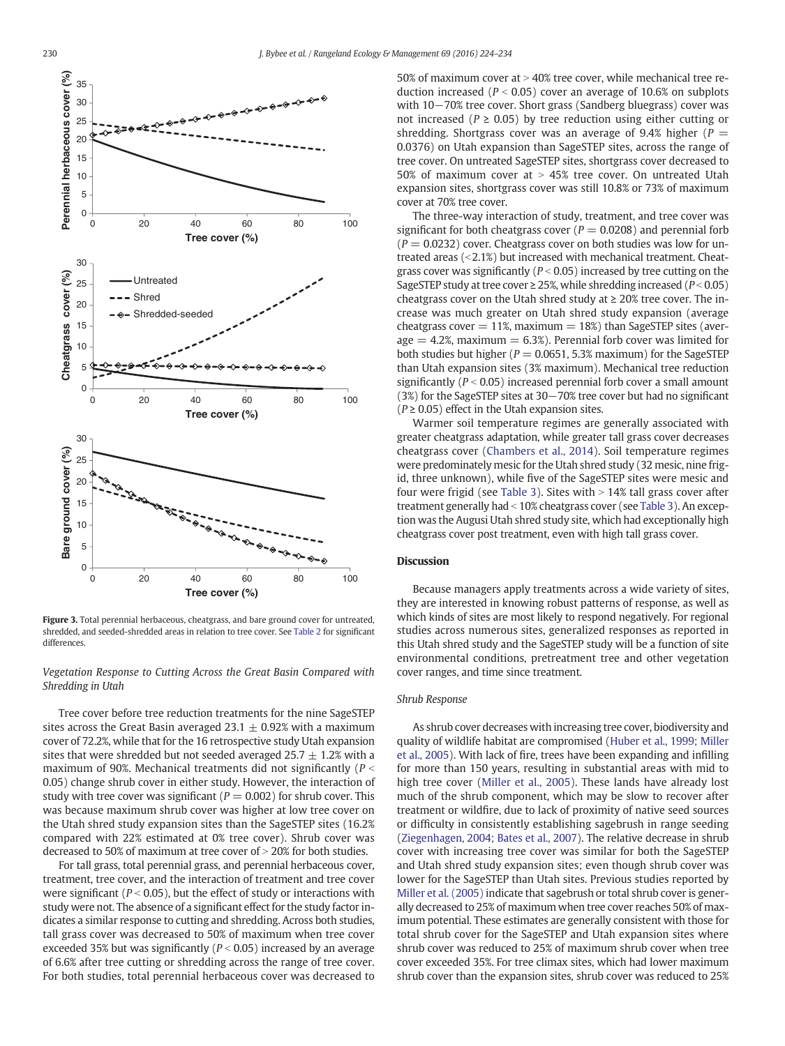<span id="page-6-0"></span>

Figure 3. Total perennial herbaceous, cheatgrass, and bare ground cover for untreated, shredded, and seeded-shredded areas in relation to tree cover. See [Table 2](#page-5-0) for significant differences.

Vegetation Response to Cutting Across the Great Basin Compared with Shredding in Utah

Tree cover before tree reduction treatments for the nine SageSTEP sites across the Great Basin averaged 23.1  $\pm$  0.92% with a maximum cover of 72.2%, while that for the 16 retrospective study Utah expansion sites that were shredded but not seeded averaged  $25.7 \pm 1.2\%$  with a maximum of 90%. Mechanical treatments did not significantly ( $P <$ 0.05) change shrub cover in either study. However, the interaction of study with tree cover was significant ( $P = 0.002$ ) for shrub cover. This was because maximum shrub cover was higher at low tree cover on the Utah shred study expansion sites than the SageSTEP sites (16.2% compared with 22% estimated at 0% tree cover). Shrub cover was decreased to 50% of maximum at tree cover of  $>$  20% for both studies.

For tall grass, total perennial grass, and perennial herbaceous cover, treatment, tree cover, and the interaction of treatment and tree cover were significant ( $P < 0.05$ ), but the effect of study or interactions with study were not. The absence of a significant effect for the study factor indicates a similar response to cutting and shredding. Across both studies, tall grass cover was decreased to 50% of maximum when tree cover exceeded 35% but was significantly ( $P < 0.05$ ) increased by an average of 6.6% after tree cutting or shredding across the range of tree cover. For both studies, total perennial herbaceous cover was decreased to 50% of maximum cover at  $>$  40% tree cover, while mechanical tree reduction increased ( $P < 0.05$ ) cover an average of 10.6% on subplots with 10−70% tree cover. Short grass (Sandberg bluegrass) cover was not increased ( $P \ge 0.05$ ) by tree reduction using either cutting or shredding. Shortgrass cover was an average of 9.4% higher ( $P =$ 0.0376) on Utah expansion than SageSTEP sites, across the range of tree cover. On untreated SageSTEP sites, shortgrass cover decreased to 50% of maximum cover at  $> 45%$  tree cover. On untreated Utah expansion sites, shortgrass cover was still 10.8% or 73% of maximum cover at 70% tree cover.

The three-way interaction of study, treatment, and tree cover was significant for both cheatgrass cover ( $P = 0.0208$ ) and perennial forb  $(P = 0.0232)$  cover. Cheatgrass cover on both studies was low for untreated areas  $( $2.1\%$ ) but increased with mechanical treatment. Chaat$ grass cover was significantly ( $P < 0.05$ ) increased by tree cutting on the SageSTEP study at tree cover  $\ge 25\%$ , while shredding increased ( $P < 0.05$ ) cheatgrass cover on the Utah shred study at  $\geq 20\%$  tree cover. The increase was much greater on Utah shred study expansion (average cheatgrass cover  $= 11\%$ , maximum  $= 18\%$ ) than SageSTEP sites (aver $age = 4.2%$ , maximum = 6.3%). Perennial forb cover was limited for both studies but higher ( $P = 0.0651$ , 5.3% maximum) for the SageSTEP than Utah expansion sites (3% maximum). Mechanical tree reduction significantly ( $P < 0.05$ ) increased perennial forb cover a small amount (3%) for the SageSTEP sites at 30−70% tree cover but had no significant  $(P \ge 0.05)$  effect in the Utah expansion sites.

Warmer soil temperature regimes are generally associated with greater cheatgrass adaptation, while greater tall grass cover decreases cheatgrass cover [\(Chambers et al., 2014](#page-9-0)). Soil temperature regimes were predominately mesic for the Utah shred study (32 mesic, nine frigid, three unknown), while five of the SageSTEP sites were mesic and four were frigid (see [Table 3\)](#page-7-0). Sites with  $> 14\%$  tall grass cover after treatment generally had < 10% cheatgrass cover (see [Table 3](#page-7-0)). An exception was the Augusi Utah shred study site, which had exceptionally high cheatgrass cover post treatment, even with high tall grass cover.

# **Discussion**

Because managers apply treatments across a wide variety of sites, they are interested in knowing robust patterns of response, as well as which kinds of sites are most likely to respond negatively. For regional studies across numerous sites, generalized responses as reported in this Utah shred study and the SageSTEP study will be a function of site environmental conditions, pretreatment tree and other vegetation cover ranges, and time since treatment.

# Shrub Response

As shrub cover decreases with increasing tree cover, biodiversity and quality of wildlife habitat are compromised ([Huber et al., 1999; Miller](#page-9-0) [et al., 2005\)](#page-9-0). With lack of fire, trees have been expanding and infilling for more than 150 years, resulting in substantial areas with mid to high tree cover ([Miller et al., 2005\)](#page-10-0). These lands have already lost much of the shrub component, which may be slow to recover after treatment or wildfire, due to lack of proximity of native seed sources or difficulty in consistently establishing sagebrush in range seeding ([Ziegenhagen, 2004; Bates et al., 2007\)](#page-10-0). The relative decrease in shrub cover with increasing tree cover was similar for both the SageSTEP and Utah shred study expansion sites; even though shrub cover was lower for the SageSTEP than Utah sites. Previous studies reported by [Miller et al. \(2005\)](#page-10-0) indicate that sagebrush or total shrub cover is generally decreased to 25% of maximum when tree cover reaches 50% of maximum potential. These estimates are generally consistent with those for total shrub cover for the SageSTEP and Utah expansion sites where shrub cover was reduced to 25% of maximum shrub cover when tree cover exceeded 35%. For tree climax sites, which had lower maximum shrub cover than the expansion sites, shrub cover was reduced to 25%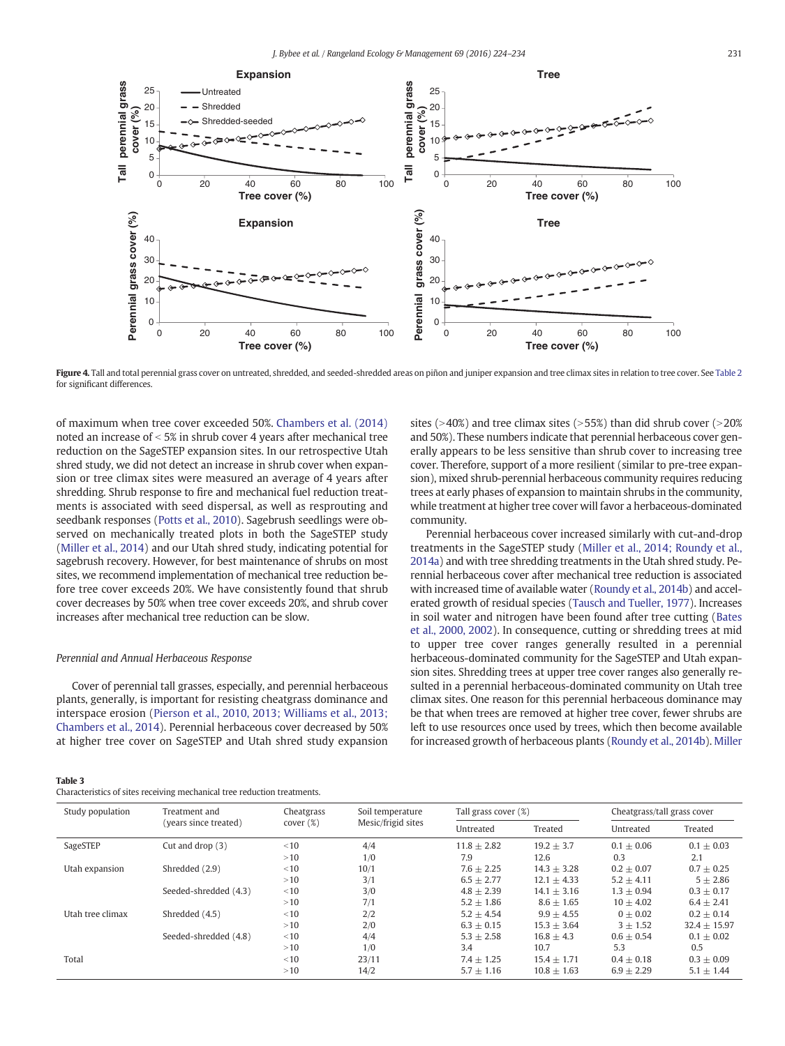<span id="page-7-0"></span>

Figure 4. Tall and total perennial grass cover on untreated, shredded, and seeded-shredded areas on piñon and juniper expansion and tree climax sites in relation to tree cover. See [Table 2](#page-5-0) for significant differences.

of maximum when tree cover exceeded 50%. [Chambers et al. \(2014\)](#page-9-0) noted an increase of  $< 5\%$  in shrub cover 4 years after mechanical tree reduction on the SageSTEP expansion sites. In our retrospective Utah shred study, we did not detect an increase in shrub cover when expansion or tree climax sites were measured an average of 4 years after shredding. Shrub response to fire and mechanical fuel reduction treatments is associated with seed dispersal, as well as resprouting and seedbank responses ([Potts et al., 2010](#page-10-0)). Sagebrush seedlings were observed on mechanically treated plots in both the SageSTEP study [\(Miller et al., 2014](#page-10-0)) and our Utah shred study, indicating potential for sagebrush recovery. However, for best maintenance of shrubs on most sites, we recommend implementation of mechanical tree reduction before tree cover exceeds 20%. We have consistently found that shrub cover decreases by 50% when tree cover exceeds 20%, and shrub cover increases after mechanical tree reduction can be slow.

#### Perennial and Annual Herbaceous Response

Table 3

Cover of perennial tall grasses, especially, and perennial herbaceous plants, generally, is important for resisting cheatgrass dominance and interspace erosion [\(Pierson et al., 2010, 2013; Williams et al., 2013;](#page-10-0) [Chambers et al., 2014\)](#page-10-0). Perennial herbaceous cover decreased by 50% at higher tree cover on SageSTEP and Utah shred study expansion

Characteristics of sites receiving mechanical tree reduction treatments.

and 50%). These numbers indicate that perennial herbaceous cover generally appears to be less sensitive than shrub cover to increasing tree cover. Therefore, support of a more resilient (similar to pre-tree expansion), mixed shrub-perennial herbaceous community requires reducing trees at early phases of expansion to maintain shrubs in the community, while treatment at higher tree cover will favor a herbaceous-dominated community.

sites ( $>40\%$ ) and tree climax sites ( $>55\%$ ) than did shrub cover ( $>20\%$ 

Perennial herbaceous cover increased similarly with cut-and-drop treatments in the SageSTEP study ([Miller et al., 2014; Roundy et al.,](#page-10-0) [2014a](#page-10-0)) and with tree shredding treatments in the Utah shred study. Perennial herbaceous cover after mechanical tree reduction is associated with increased time of available water [\(Roundy et al., 2014b\)](#page-10-0) and accelerated growth of residual species [\(Tausch and Tueller, 1977\)](#page-10-0). Increases in soil water and nitrogen have been found after tree cutting ([Bates](#page-9-0) [et al., 2000, 2002\)](#page-9-0). In consequence, cutting or shredding trees at mid to upper tree cover ranges generally resulted in a perennial herbaceous-dominated community for the SageSTEP and Utah expansion sites. Shredding trees at upper tree cover ranges also generally resulted in a perennial herbaceous-dominated community on Utah tree climax sites. One reason for this perennial herbaceous dominance may be that when trees are removed at higher tree cover, fewer shrubs are left to use resources once used by trees, which then become available for increased growth of herbaceous plants ([Roundy et al., 2014b\)](#page-10-0). [Miller](#page-10-0)

| Study population | Treatment and<br>(years since treated) | Cheatgrass<br>cover (%) | Soil temperature<br>Mesic/frigid sites | Tall grass cover (%) |                | Cheatgrass/tall grass cover |                |
|------------------|----------------------------------------|-------------------------|----------------------------------------|----------------------|----------------|-----------------------------|----------------|
|                  |                                        |                         |                                        | Untreated            | Treated        | Untreated                   | Treated        |
| SageSTEP         | Cut and drop $(3)$                     | < 10                    | 4/4                                    | $11.8 + 2.82$        | $19.2 + 3.7$   | $0.1 + 0.06$                | $0.1 + 0.03$   |
|                  |                                        | >10                     | 1/0                                    | 7.9                  | 12.6           | 0.3                         | 2.1            |
| Utah expansion   | Shredded (2.9)                         | < 10                    | 10/1                                   | $7.6 + 2.25$         | $14.3 + 3.28$  | $0.2 \pm 0.07$              | $0.7 \pm 0.25$ |
|                  |                                        | >10                     | 3/1                                    | $6.5 + 2.77$         | $12.1 + 4.33$  | $5.2 + 4.11$                | $5 + 2.86$     |
|                  | Seeded-shredded (4.3)                  | < 10                    | 3/0                                    | $4.8 + 2.39$         | $14.1 + 3.16$  | $1.3 + 0.94$                | $0.3 \pm 0.17$ |
|                  |                                        | >10                     | 7/1                                    | $5.2 + 1.86$         | $8.6 + 1.65$   | $10 + 4.02$                 | $6.4 \pm 2.41$ |
| Utah tree climax | Shredded (4.5)                         | < 10                    | 2/2                                    | $5.2 + 4.54$         | $9.9 + 4.55$   | $0 + 0.02$                  | $0.2 + 0.14$   |
|                  |                                        | >10                     | 2/0                                    | $6.3 + 0.15$         | $15.3 + 3.64$  | $3 + 1.52$                  | $32.4 + 15.97$ |
|                  | Seeded-shredded (4.8)                  | < 10                    | 4/4                                    | $5.3 \pm 2.58$       | $16.8 \pm 4.3$ | $0.6 \pm 0.54$              | $0.1 \pm 0.02$ |
|                  |                                        | >10                     | 1/0                                    | 3.4                  | 10.7           | 5.3                         | 0.5            |
| Total            |                                        | < 10                    | 23/11                                  | $7.4 + 1.25$         | $15.4 + 1.71$  | $0.4 + 0.18$                | $0.3 \pm 0.09$ |
|                  |                                        | >10                     | 14/2                                   | $5.7 + 1.16$         | $10.8 + 1.63$  | $6.9 + 2.29$                | $5.1 \pm 1.44$ |
|                  |                                        |                         |                                        |                      |                |                             |                |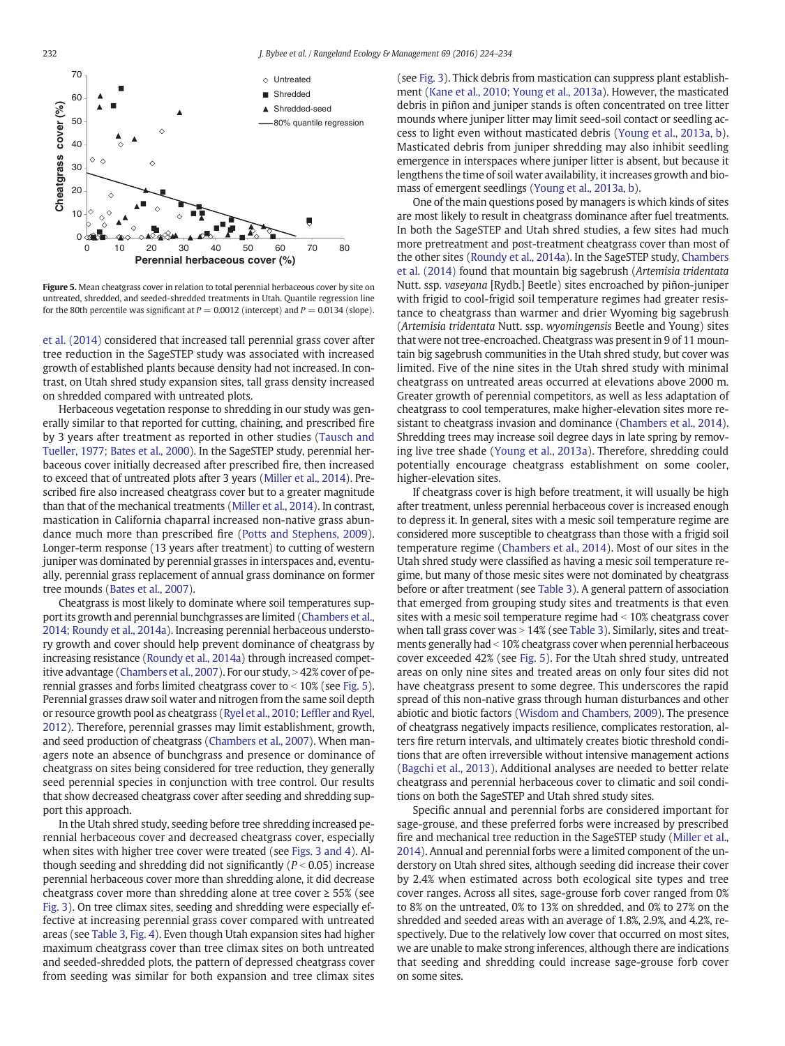<span id="page-8-0"></span>

Figure 5. Mean cheatgrass cover in relation to total perennial herbaceous cover by site on untreated, shredded, and seeded-shredded treatments in Utah. Quantile regression line for the 80th percentile was significant at  $P = 0.0012$  (intercept) and  $P = 0.0134$  (slope).

[et al. \(2014\)](#page-10-0) considered that increased tall perennial grass cover after tree reduction in the SageSTEP study was associated with increased growth of established plants because density had not increased. In contrast, on Utah shred study expansion sites, tall grass density increased on shredded compared with untreated plots.

Herbaceous vegetation response to shredding in our study was generally similar to that reported for cutting, chaining, and prescribed fire by 3 years after treatment as reported in other studies ([Tausch and](#page-10-0) [Tueller, 1977; Bates et al., 2000](#page-10-0)). In the SageSTEP study, perennial herbaceous cover initially decreased after prescribed fire, then increased to exceed that of untreated plots after 3 years ([Miller et al., 2014](#page-10-0)). Prescribed fire also increased cheatgrass cover but to a greater magnitude than that of the mechanical treatments ([Miller et al., 2014\)](#page-10-0). In contrast, mastication in California chaparral increased non-native grass abundance much more than prescribed fire [\(Potts and Stephens, 2009](#page-10-0)). Longer-term response (13 years after treatment) to cutting of western juniper was dominated by perennial grasses in interspaces and, eventually, perennial grass replacement of annual grass dominance on former tree mounds [\(Bates et al., 2007\)](#page-9-0).

Cheatgrass is most likely to dominate where soil temperatures support its growth and perennial bunchgrasses are limited [\(Chambers et al.,](#page-9-0) [2014; Roundy et al., 2014a\)](#page-9-0). Increasing perennial herbaceous understory growth and cover should help prevent dominance of cheatgrass by increasing resistance [\(Roundy et al., 2014a](#page-10-0)) through increased compet-itive advantage ([Chambers et al., 2007](#page-9-0)). For our study, > 42% cover of perennial grasses and forbs limited cheatgrass cover to  $<$  10% (see Fig. 5). Perennial grasses draw soil water and nitrogen from the same soil depth or resource growth pool as cheatgrass [\(Ryel et al., 2010; Lef](#page-10-0)fler and Ryel, [2012\)](#page-10-0). Therefore, perennial grasses may limit establishment, growth, and seed production of cheatgrass [\(Chambers et al., 2007\)](#page-9-0). When managers note an absence of bunchgrass and presence or dominance of cheatgrass on sites being considered for tree reduction, they generally seed perennial species in conjunction with tree control. Our results that show decreased cheatgrass cover after seeding and shredding support this approach.

In the Utah shred study, seeding before tree shredding increased perennial herbaceous cover and decreased cheatgrass cover, especially when sites with higher tree cover were treated (see [Figs. 3 and 4](#page-6-0)). Although seeding and shredding did not significantly ( $P < 0.05$ ) increase perennial herbaceous cover more than shredding alone, it did decrease cheatgrass cover more than shredding alone at tree cover ≥ 55% (see [Fig. 3](#page-6-0)). On tree climax sites, seeding and shredding were especially effective at increasing perennial grass cover compared with untreated areas (see [Table 3,](#page-7-0) [Fig. 4\)](#page-7-0). Even though Utah expansion sites had higher maximum cheatgrass cover than tree climax sites on both untreated and seeded-shredded plots, the pattern of depressed cheatgrass cover from seeding was similar for both expansion and tree climax sites (see [Fig. 3\)](#page-6-0). Thick debris from mastication can suppress plant establishment ([Kane et al., 2010; Young et al., 2013a\)](#page-9-0). However, the masticated debris in piñon and juniper stands is often concentrated on tree litter mounds where juniper litter may limit seed-soil contact or seedling access to light even without masticated debris ([Young et al., 2013a, b](#page-10-0)). Masticated debris from juniper shredding may also inhibit seedling emergence in interspaces where juniper litter is absent, but because it lengthens the time of soil water availability, it increases growth and biomass of emergent seedlings [\(Young et al., 2013a, b\)](#page-10-0).

One of the main questions posed by managers is which kinds of sites are most likely to result in cheatgrass dominance after fuel treatments. In both the SageSTEP and Utah shred studies, a few sites had much more pretreatment and post-treatment cheatgrass cover than most of the other sites [\(Roundy et al., 2014a\)](#page-10-0). In the SageSTEP study, [Chambers](#page-9-0) [et al. \(2014\)](#page-9-0) found that mountain big sagebrush (Artemisia tridentata Nutt. ssp. vaseyana [Rydb.] Beetle) sites encroached by piñon-juniper with frigid to cool-frigid soil temperature regimes had greater resistance to cheatgrass than warmer and drier Wyoming big sagebrush (Artemisia tridentata Nutt. ssp. wyomingensis Beetle and Young) sites that were not tree-encroached. Cheatgrass was present in 9 of 11 mountain big sagebrush communities in the Utah shred study, but cover was limited. Five of the nine sites in the Utah shred study with minimal cheatgrass on untreated areas occurred at elevations above 2000 m. Greater growth of perennial competitors, as well as less adaptation of cheatgrass to cool temperatures, make higher-elevation sites more resistant to cheatgrass invasion and dominance [\(Chambers et al., 2014](#page-9-0)). Shredding trees may increase soil degree days in late spring by removing live tree shade [\(Young et al., 2013a\)](#page-10-0). Therefore, shredding could potentially encourage cheatgrass establishment on some cooler, higher-elevation sites.

If cheatgrass cover is high before treatment, it will usually be high after treatment, unless perennial herbaceous cover is increased enough to depress it. In general, sites with a mesic soil temperature regime are considered more susceptible to cheatgrass than those with a frigid soil temperature regime ([Chambers et al., 2014\)](#page-9-0). Most of our sites in the Utah shred study were classified as having a mesic soil temperature regime, but many of those mesic sites were not dominated by cheatgrass before or after treatment (see [Table 3\)](#page-7-0). A general pattern of association that emerged from grouping study sites and treatments is that even sites with a mesic soil temperature regime had  $<$  10% cheatgrass cover when tall grass cover was  $> 14\%$  (see [Table 3\)](#page-7-0). Similarly, sites and treatments generally had < 10% cheatgrass cover when perennial herbaceous cover exceeded 42% (see Fig. 5). For the Utah shred study, untreated areas on only nine sites and treated areas on only four sites did not have cheatgrass present to some degree. This underscores the rapid spread of this non-native grass through human disturbances and other abiotic and biotic factors ([Wisdom and Chambers, 2009](#page-10-0)). The presence of cheatgrass negatively impacts resilience, complicates restoration, alters fire return intervals, and ultimately creates biotic threshold conditions that are often irreversible without intensive management actions ([Bagchi et al., 2013](#page-9-0)). Additional analyses are needed to better relate cheatgrass and perennial herbaceous cover to climatic and soil conditions on both the SageSTEP and Utah shred study sites.

Specific annual and perennial forbs are considered important for sage-grouse, and these preferred forbs were increased by prescribed fire and mechanical tree reduction in the SageSTEP study [\(Miller et al.,](#page-10-0) [2014](#page-10-0)). Annual and perennial forbs were a limited component of the understory on Utah shred sites, although seeding did increase their cover by 2.4% when estimated across both ecological site types and tree cover ranges. Across all sites, sage-grouse forb cover ranged from 0% to 8% on the untreated, 0% to 13% on shredded, and 0% to 27% on the shredded and seeded areas with an average of 1.8%, 2.9%, and 4.2%, respectively. Due to the relatively low cover that occurred on most sites, we are unable to make strong inferences, although there are indications that seeding and shredding could increase sage-grouse forb cover on some sites.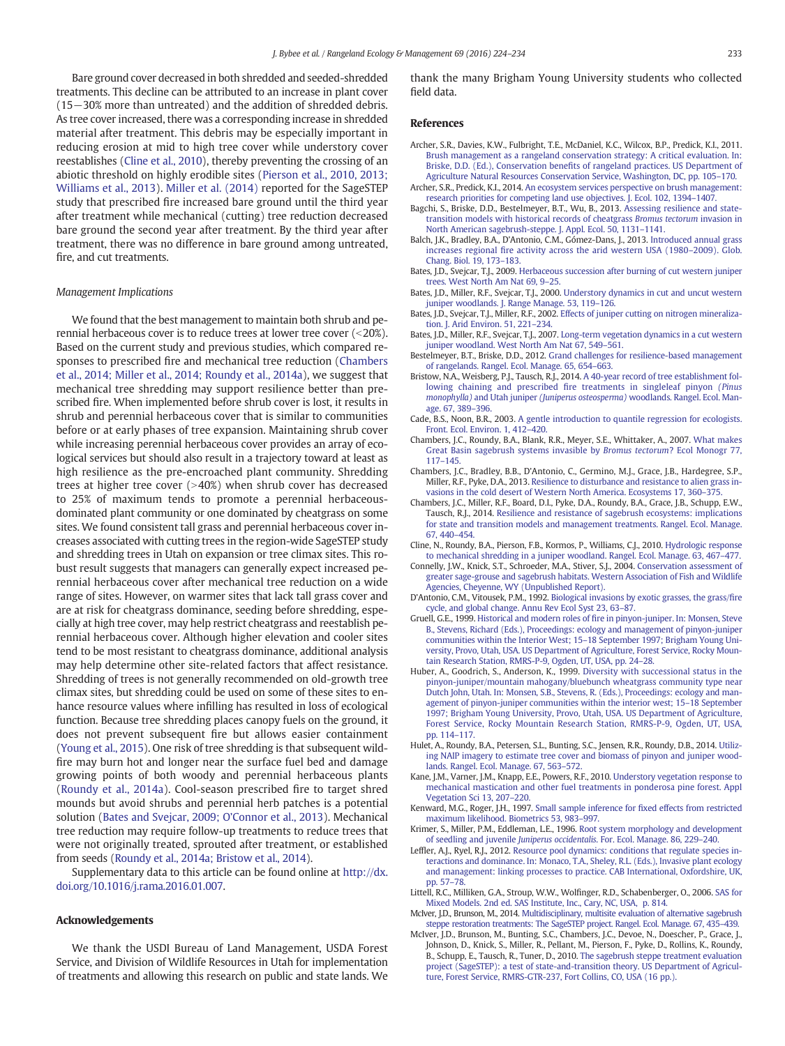<span id="page-9-0"></span>Bare ground cover decreased in both shredded and seeded-shredded treatments. This decline can be attributed to an increase in plant cover (15−30% more than untreated) and the addition of shredded debris. As tree cover increased, there was a corresponding increase in shredded material after treatment. This debris may be especially important in reducing erosion at mid to high tree cover while understory cover reestablishes (Cline et al., 2010), thereby preventing the crossing of an abiotic threshold on highly erodible sites ([Pierson et al., 2010, 2013;](#page-10-0) [Williams et al., 2013\)](#page-10-0). [Miller et al. \(2014\)](#page-10-0) reported for the SageSTEP study that prescribed fire increased bare ground until the third year after treatment while mechanical (cutting) tree reduction decreased bare ground the second year after treatment. By the third year after treatment, there was no difference in bare ground among untreated, fire, and cut treatments.

## Management Implications

We found that the best management to maintain both shrub and perennial herbaceous cover is to reduce trees at lower tree cover  $($  < 20%). Based on the current study and previous studies, which compared responses to prescribed fire and mechanical tree reduction (Chambers et al., 2014; Miller et al., 2014; Roundy et al., 2014a), we suggest that mechanical tree shredding may support resilience better than prescribed fire. When implemented before shrub cover is lost, it results in shrub and perennial herbaceous cover that is similar to communities before or at early phases of tree expansion. Maintaining shrub cover while increasing perennial herbaceous cover provides an array of ecological services but should also result in a trajectory toward at least as high resilience as the pre-encroached plant community. Shredding trees at higher tree cover  $(>40%)$  when shrub cover has decreased to 25% of maximum tends to promote a perennial herbaceousdominated plant community or one dominated by cheatgrass on some sites. We found consistent tall grass and perennial herbaceous cover increases associated with cutting trees in the region-wide SageSTEP study and shredding trees in Utah on expansion or tree climax sites. This robust result suggests that managers can generally expect increased perennial herbaceous cover after mechanical tree reduction on a wide range of sites. However, on warmer sites that lack tall grass cover and are at risk for cheatgrass dominance, seeding before shredding, especially at high tree cover, may help restrict cheatgrass and reestablish perennial herbaceous cover. Although higher elevation and cooler sites tend to be most resistant to cheatgrass dominance, additional analysis may help determine other site-related factors that affect resistance. Shredding of trees is not generally recommended on old-growth tree climax sites, but shredding could be used on some of these sites to enhance resource values where infilling has resulted in loss of ecological function. Because tree shredding places canopy fuels on the ground, it does not prevent subsequent fire but allows easier containment [\(Young et al., 2015\)](#page-10-0). One risk of tree shredding is that subsequent wildfire may burn hot and longer near the surface fuel bed and damage growing points of both woody and perennial herbaceous plants [\(Roundy et al., 2014a\)](#page-10-0). Cool-season prescribed fire to target shred mounds but avoid shrubs and perennial herb patches is a potential solution (Bates and Svejcar, 2009; O'Connor et al., 2013). Mechanical tree reduction may require follow-up treatments to reduce trees that were not originally treated, sprouted after treatment, or established from seeds [\(Roundy et al., 2014a; Bristow et al., 2014\)](#page-10-0).

Supplementary data to this article can be found online at [http://dx.](http://dx.doi.org/10.1016/j.rama.2016.01.007) [doi.org/10.1016/j.rama.2016.01.007.](http://dx.doi.org/10.1016/j.rama.2016.01.007)

### Acknowledgements

We thank the USDI Bureau of Land Management, USDA Forest Service, and Division of Wildlife Resources in Utah for implementation of treatments and allowing this research on public and state lands. We

thank the many Brigham Young University students who collected field data.

#### References

- Archer, S.R., Davies, K.W., Fulbright, T.E., McDaniel, K.C., Wilcox, B.P., Predick, K.I., 2011. [Brush management as a rangeland conservation strategy: A critical evaluation. In:](http://refhub.elsevier.com/S1550-7424(16)00009-9/rf0005) Briske, D.D. (Ed.), Conservation benefi[ts of rangeland practices. US Department of](http://refhub.elsevier.com/S1550-7424(16)00009-9/rf0005) [Agriculture Natural Resources Conservation Service, Washington, DC, pp. 105](http://refhub.elsevier.com/S1550-7424(16)00009-9/rf0005)–170.
- Archer, S.R., Predick, K.I., 2014. [An ecosystem services perspective on brush management:](http://refhub.elsevier.com/S1550-7424(16)00009-9/rf0010) [research priorities for competing land use objectives. J. Ecol. 102, 1394](http://refhub.elsevier.com/S1550-7424(16)00009-9/rf0010)–1407.
- Bagchi, S., Briske, D.D., Bestelmeyer, B.T., Wu, B., 2013. [Assessing resilience and state](http://refhub.elsevier.com/S1550-7424(16)00009-9/rf0015)[transition models with historical records of cheatgrass](http://refhub.elsevier.com/S1550-7424(16)00009-9/rf0015) Bromus tectorum invasion in [North American sagebrush-steppe. J. Appl. Ecol. 50, 1131](http://refhub.elsevier.com/S1550-7424(16)00009-9/rf0015)–1141.
- Balch, J.K., Bradley, B.A., D'Antonio, C.M., Gómez-Dans, J., 2013. [Introduced annual grass](http://refhub.elsevier.com/S1550-7424(16)00009-9/rf0020) increases regional fi[re activity across the arid western USA \(1980](http://refhub.elsevier.com/S1550-7424(16)00009-9/rf0020)–2009). Glob. [Chang. Biol. 19, 173](http://refhub.elsevier.com/S1550-7424(16)00009-9/rf0020)–183.
- Bates, J.D., Svejcar, T.J., 2009. [Herbaceous succession after burning of cut western juniper](http://refhub.elsevier.com/S1550-7424(16)00009-9/rf0030) [trees. West North Am Nat 69, 9](http://refhub.elsevier.com/S1550-7424(16)00009-9/rf0030)–25.
- Bates, J.D., Miller, R.F., Svejcar, T.J., 2000. [Understory dynamics in cut and uncut western](http://refhub.elsevier.com/S1550-7424(16)00009-9/rf0025) [juniper woodlands. J. Range Manage. 53, 119](http://refhub.elsevier.com/S1550-7424(16)00009-9/rf0025)–126.
- Bates, J.D., Svejcar, T.J., Miller, R.F., 2002. [Effects of juniper cutting on nitrogen mineraliza](http://refhub.elsevier.com/S1550-7424(16)00009-9/rf1080)[tion. J. Arid Environ. 51, 221](http://refhub.elsevier.com/S1550-7424(16)00009-9/rf1080)–234.
- Bates, J.D., Miller, R.F., Svejcar, T.J., 2007. [Long-term vegetation dynamics in a cut western](http://refhub.elsevier.com/S1550-7424(16)00009-9/rf0035) [juniper woodland. West North Am Nat 67, 549](http://refhub.elsevier.com/S1550-7424(16)00009-9/rf0035)–561.
- Bestelmeyer, B.T., Briske, D.D., 2012. [Grand challenges for resilience-based management](http://refhub.elsevier.com/S1550-7424(16)00009-9/rf0040) [of rangelands. Rangel. Ecol. Manage. 65, 654](http://refhub.elsevier.com/S1550-7424(16)00009-9/rf0040)–663.
- Bristow, N.A., Weisberg, P.J., Tausch, R.J., 2014. [A 40-year record of tree establishment fol](http://refhub.elsevier.com/S1550-7424(16)00009-9/rf0045)lowing chaining and prescribed fi[re treatments in singleleaf pinyon](http://refhub.elsevier.com/S1550-7424(16)00009-9/rf0045) (Pinus monophylla) and Utah juniper (Juniperus osteosperma) [woodlands. Rangel. Ecol. Man](http://refhub.elsevier.com/S1550-7424(16)00009-9/rf0045)[age. 67, 389](http://refhub.elsevier.com/S1550-7424(16)00009-9/rf0045)–396.
- Cade, B.S., Noon, B.R., 2003. [A gentle introduction to quantile regression for ecologists.](http://refhub.elsevier.com/S1550-7424(16)00009-9/rf0050) [Front. Ecol. Environ. 1, 412](http://refhub.elsevier.com/S1550-7424(16)00009-9/rf0050)–420.
- Chambers, J.C., Roundy, B.A., Blank, R.R., Meyer, S.E., Whittaker, A., 2007. [What makes](http://refhub.elsevier.com/S1550-7424(16)00009-9/rf0055) [Great Basin sagebrush systems invasible by](http://refhub.elsevier.com/S1550-7424(16)00009-9/rf0055) Bromus tectorum? Ecol Monogr 77, [117](http://refhub.elsevier.com/S1550-7424(16)00009-9/rf0055)–145.
- Chambers, J.C., Bradley, B.B., D'Antonio, C., Germino, M.J., Grace, J.B., Hardegree, S.P., Miller, R.F., Pyke, D.A., 2013. [Resilience to disturbance and resistance to alien grass in](http://refhub.elsevier.com/S1550-7424(16)00009-9/rf0060)[vasions in the cold desert of Western North America. Ecosystems 17, 360](http://refhub.elsevier.com/S1550-7424(16)00009-9/rf0060)–375.
- Chambers, J.C., Miller, R.F., Board, D.I., Pyke, D.A., Roundy, B.A., Grace, J.B., Schupp, E.W., Tausch, R.J., 2014. [Resilience and resistance of sagebrush ecosystems: implications](http://refhub.elsevier.com/S1550-7424(16)00009-9/rf0065) [for state and transition models and management treatments. Rangel. Ecol. Manage.](http://refhub.elsevier.com/S1550-7424(16)00009-9/rf0065) [67, 440](http://refhub.elsevier.com/S1550-7424(16)00009-9/rf0065)–454.
- Cline, N., Roundy, B.A., Pierson, F.B., Kormos, P., Williams, C.J., 2010. [Hydrologic response](http://refhub.elsevier.com/S1550-7424(16)00009-9/rf0070) [to mechanical shredding in a juniper woodland. Rangel. Ecol. Manage. 63, 467](http://refhub.elsevier.com/S1550-7424(16)00009-9/rf0070)–477.
- Connelly, J.W., Knick, S.T., Schroeder, M.A., Stiver, S.J., 2004. [Conservation assessment of](http://refhub.elsevier.com/S1550-7424(16)00009-9/rf0075) [greater sage-grouse and sagebrush habitats. Western Association of Fish and Wildlife](http://refhub.elsevier.com/S1550-7424(16)00009-9/rf0075) [Agencies, Cheyenne, WY \(Unpublished Report\).](http://refhub.elsevier.com/S1550-7424(16)00009-9/rf0075)
- D'Antonio, C.M., Vitousek, P.M., 1992. [Biological invasions by exotic grasses, the grass/](http://refhub.elsevier.com/S1550-7424(16)00009-9/rf0080)fire [cycle, and global change. Annu Rev Ecol Syst 23, 63](http://refhub.elsevier.com/S1550-7424(16)00009-9/rf0080)–87.
- Gruell, G.E., 1999. Historical and modern roles of fi[re in pinyon-juniper. In: Monsen, Steve](http://refhub.elsevier.com/S1550-7424(16)00009-9/rf0090) [B., Stevens, Richard \(Eds.\), Proceedings: ecology and management of pinyon-juniper](http://refhub.elsevier.com/S1550-7424(16)00009-9/rf0090) [communities within the Interior West; 15](http://refhub.elsevier.com/S1550-7424(16)00009-9/rf0090)–18 September 1997; Brigham Young Uni[versity, Provo, Utah, USA. US Department of Agriculture, Forest Service, Rocky Moun](http://refhub.elsevier.com/S1550-7424(16)00009-9/rf0090)[tain Research Station, RMRS-P-9, Ogden, UT, USA, pp. 24](http://refhub.elsevier.com/S1550-7424(16)00009-9/rf0090)–28.
- Huber, A., Goodrich, S., Anderson, K., 1999. [Diversity with successional status in the](http://refhub.elsevier.com/S1550-7424(16)00009-9/rf0095) [pinyon-juniper/mountain mahogany/bluebunch wheatgrass community type near](http://refhub.elsevier.com/S1550-7424(16)00009-9/rf0095) [Dutch John, Utah. In: Monsen, S.B., Stevens, R. \(Eds.\), Proceedings: ecology and man](http://refhub.elsevier.com/S1550-7424(16)00009-9/rf0095)[agement of pinyon-juniper communities within the interior west; 15](http://refhub.elsevier.com/S1550-7424(16)00009-9/rf0095)–18 September [1997; Brigham Young University, Provo, Utah, USA. US Department of Agriculture,](http://refhub.elsevier.com/S1550-7424(16)00009-9/rf0095) [Forest Service, Rocky Mountain Research Station, RMRS-P-9, Ogden, UT, USA,](http://refhub.elsevier.com/S1550-7424(16)00009-9/rf0095) [pp. 114](http://refhub.elsevier.com/S1550-7424(16)00009-9/rf0095)–117.
- Hulet, A., Roundy, B.A., Petersen, S.L., Bunting, S.C., Jensen, R.R., Roundy, D.B., 2014. [Utiliz](http://refhub.elsevier.com/S1550-7424(16)00009-9/rf0100)[ing NAIP imagery to estimate tree cover and biomass of pinyon and juniper wood](http://refhub.elsevier.com/S1550-7424(16)00009-9/rf0100)[lands. Rangel. Ecol. Manage. 67, 563](http://refhub.elsevier.com/S1550-7424(16)00009-9/rf0100)–572.
- Kane, J.M., Varner, J.M., Knapp, E.E., Powers, R.F., 2010. [Understory vegetation response to](http://refhub.elsevier.com/S1550-7424(16)00009-9/rf0110) [mechanical mastication and other fuel treatments in ponderosa pine forest. Appl](http://refhub.elsevier.com/S1550-7424(16)00009-9/rf0110) [Vegetation Sci 13, 207](http://refhub.elsevier.com/S1550-7424(16)00009-9/rf0110)–220.
- Kenward, M.G., Roger, J.H., 1997. [Small sample inference for](http://refhub.elsevier.com/S1550-7424(16)00009-9/rf0115) fixed effects from restricted [maximum likelihood. Biometrics 53, 983](http://refhub.elsevier.com/S1550-7424(16)00009-9/rf0115)–997.
- Krimer, S., Miller, P.M., Eddleman, L.E., 1996. [Root system morphology and development](http://refhub.elsevier.com/S1550-7424(16)00009-9/rf0120) of seedling and juvenile Juniperus occidentalis[. For. Ecol. Manage. 86, 229](http://refhub.elsevier.com/S1550-7424(16)00009-9/rf0120)–240.
- Leffler, A.J., Ryel, R.J., 2012. [Resource pool dynamics: conditions that regulate species in](http://refhub.elsevier.com/S1550-7424(16)00009-9/rf0125)[teractions and dominance. In: Monaco, T.A., Sheley, R.L. \(Eds.\), Invasive plant ecology](http://refhub.elsevier.com/S1550-7424(16)00009-9/rf0125) [and management: linking processes to practice. CAB International, Oxfordshire, UK,](http://refhub.elsevier.com/S1550-7424(16)00009-9/rf0125) [pp. 57](http://refhub.elsevier.com/S1550-7424(16)00009-9/rf0125)–78.
- Littell, R.C., Milliken, G.A., Stroup, W.W., Wolfinger, R.D., Schabenberger, O., 2006. [SAS for](http://refhub.elsevier.com/S1550-7424(16)00009-9/rf0130) [Mixed Models. 2nd ed. SAS Institute, Inc., Cary, NC, USA, p. 814.](http://refhub.elsevier.com/S1550-7424(16)00009-9/rf0130)
- McIver, J.D., Brunson, M., 2014. [Multidisciplinary, multisite evaluation of alternative sagebrush](http://refhub.elsevier.com/S1550-7424(16)00009-9/rf0135) [steppe restoration treatments: The SageSTEP project. Rangel. Ecol. Manage. 67, 435](http://refhub.elsevier.com/S1550-7424(16)00009-9/rf0135)–439.
- McIver, J.D., Brunson, M., Bunting, S.C., Chambers, J.C., Devoe, N., Doescher, P., Grace, J., Johnson, D., Knick, S., Miller, R., Pellant, M., Pierson, F., Pyke, D., Rollins, K., Roundy, B., Schupp, E., Tausch, R., Tuner, D., 2010. [The sagebrush steppe treatment evaluation](http://refhub.elsevier.com/S1550-7424(16)00009-9/rf0140) [project \(SageSTEP\): a test of state-and-transition theory. US Department of Agricul](http://refhub.elsevier.com/S1550-7424(16)00009-9/rf0140)[ture, Forest Service, RMRS-GTR-237, Fort Collins, CO, USA \(16 pp.\).](http://refhub.elsevier.com/S1550-7424(16)00009-9/rf0140)